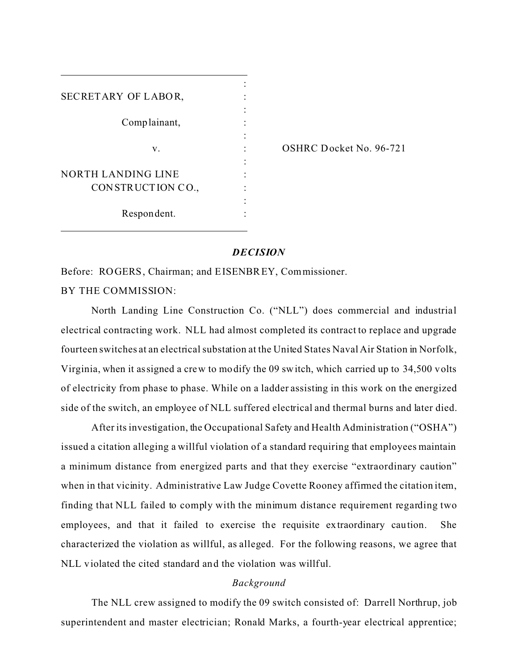| SECRETARY OF LABOR,       |  |
|---------------------------|--|
|                           |  |
| Complainant,              |  |
|                           |  |
| v.                        |  |
|                           |  |
| <b>NORTH LANDING LINE</b> |  |
| CONSTRUCTION CO.,         |  |
|                           |  |
| Respondent.               |  |
|                           |  |

OSHRC Docket No. 96-721

#### *DECISION*

Before: ROGERS, Chairman; and EISENBREY, Commissioner. BY THE COMMISSION:

North Landing Line Construction Co. ("NLL") does commercial and industrial electrical contracting work. NLL had almost completed its contract to replace and upgrade fourteen switches at an electrical substation at the United States Naval Air Station in Norfolk, Virginia, when it assigned a crew to modify the 09 switch, which carried up to 34,500 volts of electricity from phase to phase. While on a ladder assisting in this work on the energized side of the switch, an employee of NLL suffered electrical and thermal burns and later died.

After its investigation, the Occupational Safety and Health Administration ("OSHA") issued a citation alleging a willful violation of a standard requiring that employees maintain a minimum distance from energized parts and that they exercise "extraordinary caution" when in that vicinity. Administrative Law Judge Covette Rooney affirmed the citation item, finding that NLL failed to comply with the minimum distance requirement regarding two employees, and that it failed to exercise the requisite extraordinary caution. She characterized the violation as willful, as alleged. For the following reasons, we agree that NLL violated the cited standard and the violation was willful.

### *Background*

The NLL crew assigned to modify the 09 switch consisted of: Darrell Northrup, job superintendent and master electrician; Ronald Marks, a fourth-year electrical apprentice;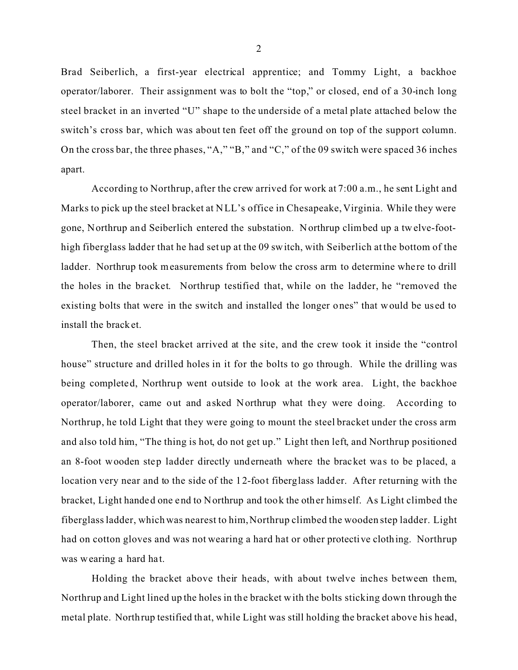Brad Seiberlich, a first-year electrical apprentice; and Tommy Light, a backhoe operator/laborer. Their assignment was to bolt the "top," or closed, end of a 30-inch long steel bracket in an inverted "U" shape to the underside of a metal plate attached below the switch's cross bar, which was about ten feet off the ground on top of the support column. On the cross bar, the three phases, "A," "B," and "C," of the 09 switch were spaced 36 inches apart.

According to Northrup, after the crew arrived for work at 7:00 a.m., he sent Light and Marks to pick up the steel bracket at NLL's office in Chesapeake, Virginia. While they were gone, Northrup and Seiberlich entered the substation. Northrup climbed up a twelve-foothigh fiberglass ladder that he had set up at the 09 switch, with Seiberlich at the bottom of the ladder. Northrup took measurements from below the cross arm to determine where to drill the holes in the bracket. Northrup testified that, while on the ladder, he "removed the existing bolts that were in the switch and installed the longer ones" that would be us ed to install the bracket.

Then, the steel bracket arrived at the site, and the crew took it inside the "control house" structure and drilled holes in it for the bolts to go through. While the drilling was being completed, Northrup went outside to look at the work area. Light, the backhoe operator/laborer, came out and a sked Northrup what they were doing. According to Northrup, he told Light that they were going to mount the steel bracket under the cross arm and also told him, "The thing is hot, do not get up." Light then left, and Northrup positioned an 8-foot wooden step ladder directly underneath where the bracket was to be placed, a location very near and to the side of the 12-foot fiberglass ladder. After returning with the bracket, Light handed one end to Northrup and took the other himself. As Light climbed the fiberglass ladder, which was nearest to him, Northrup climbed the wooden step ladder. Light had on cotton gloves and was not wearing a hard hat or other protective clothing. Northrup was wearing a hard hat.

Holding the bracket above their heads, with about twelve inches between them, Northrup and Light lined up the holes in the bracket with the bolts sticking down through the metal plate. Northrup testified that, while Light was still holding the bracket above his head,

2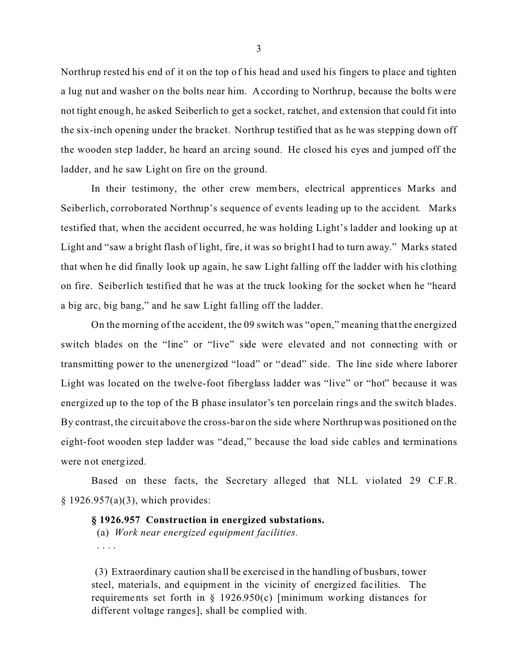Northrup rested his end of it on the top of his head and used his fingers to place and tighten a lug nut and washer on the bolts near him. According to Northrup, because the bolts were not tight enough, he asked Seiberlich to get a socket, ratchet, and extension that could fit into the six-inch opening under the bracket. Northrup testified that as he was stepping down off the wooden step ladder, he heard an arcing sound. He closed his eyes and jumped off the ladder, and he saw Light on fire on the ground.

In their testimony, the other crew mem bers, electrical apprentices Marks and Seiberlich, corroborated Northrup's sequence of events leading up to the accident. Marks testified that, when the accident occurred, he was holding Light's ladder and looking up at Light and "saw a bright flash of light, fire, it was so bright I had to turn away." Marks stated that when he did finally look up again, he saw Light falling off the ladder with his clothing on fire. Seiberlich testified that he was at the truck looking for the socket when he "heard a big arc, big bang," and he saw Light fa lling off the ladder.

On the morning of the accident, the 09 switch was "open," meaning that the energized switch blades on the "line" or "live" side were elevated and not connecting with or transmitting power to the unenergized "load" or "dead" side. The line side where laborer Light was located on the twelve-foot fiberglass ladder was "live" or "hot" because it was energized up to the top of the B phase insulator's ten porcelain rings and the switch blades. By contrast, the circuit above the cross-bar on the side where Northrup was positioned on the eight-foot wooden step ladder was "dead," because the load side cables and terminations were not energized.

Based on these facts, the Secretary alleged that NLL violated 29 C.F.R. § 1926.957(a)(3), which provides:

## **§ 1926.957 Construction in energized substations.**

(a) *Work near energized equipment facilities.*  . . . .

(3) Extraordinary caution sha ll be exercised in the handling of busbars, tower steel, materials, and equipment in the vicinity of energiz ed facilities. The requirements set forth in  $\S$  1926.950(c) [minimum working distances for different voltage ranges], shall be complied with.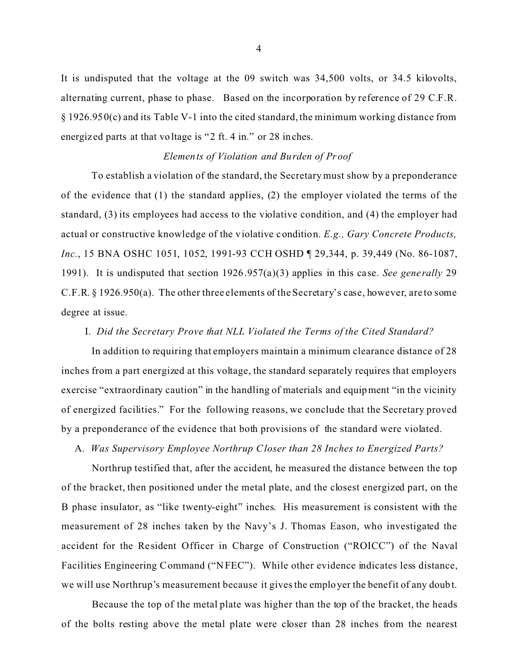It is undisputed that the voltage at the 09 switch was 34,500 volts, or 34.5 kilovolts, alternating current, phase to phase. Based on the incorporation by reference of 29 C.F.R. § 1926.950(c) and its Table V-1 into the cited standard, the minimum working distance from energiz ed parts at that voltage is "2 ft. 4 in." or 28 inches.

## *Elements of Violation and Burden of Proof*

To establish a violation of the standard, the Secretary must show by a preponderance of the evidence that (1) the standard applies, (2) the employer violated the terms of the standard, (3) its employees had access to the violative condition, and (4) the employer had actual or constructive knowledge of the violative condition. *E.g., Gary Concrete Products, Inc.*, 15 BNA OSHC 1051, 1052, 1991-93 CCH OSHD ¶ 29,344, p. 39,449 (No. 86-1087, 1991). It is undisputed that section 1926.957(a)(3) applies in this case. *See gene rally* 29 C.F.R. § 1926.950(a). The other three elements of the Secretary's case, however, are to some degree at issue.

#### I. *Did the Secretary Prove that NLL Violated the Terms of the Cited Standard?*

In addition to requiring that employers maintain a minimum clearance distance of 28 inches from a part energized at this voltage, the standard separately requires that employers exercise "extraordinary caution" in the handling of materials and equipment "in the vicinity of energized facilities." For the following reasons, we conclude that the Secretary proved by a preponderance of the evidence that both provisions of the standard were violated.

A. *Was Supervisory Employee Northrup Closer than 28 Inches to Energized Parts?* 

Northrup testified that, after the accident, he measured the distance between the top of the bracket, then positioned under the metal plate, and the closest energized part, on the B phase insulator, as "like twenty-eight" inches. His measurement is consistent with the measurement of 28 inches taken by the Navy's J. Thomas Eason, who investigated the accident for the Resident Officer in Charge of Construction ("ROICC") of the Naval Facilities Engineering Command ("NFEC"). While other evidence indicates less distance, we will use Northrup's measurement because it gives the employer the benefit of any doubt.

Because the top of the metal plate was higher than the top of the bracket, the heads of the bolts resting above the metal plate were closer than 28 inches from the nearest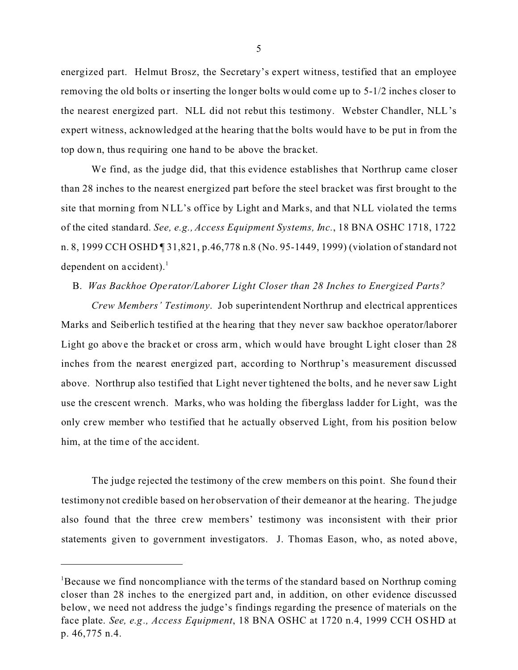energized part. Helmut Brosz, the Secretary's expert witness, testified that an employee removing the old bolts or inserting the longer bolts would come up to 5-1/2 inches closer to the nearest energized part. NLL did not rebut this testimony. Webster Chandler, NLL's expert witness, acknowledged at the hearing that the bolts would have to be put in from the top down, thus requiring one hand to be above the bracket.

We find, as the judge did, that this evidence establishes that Northrup came closer than 28 inches to the nearest energized part before the steel bracket was first brought to the site that morning from NLL's office by Light and Marks, and that NLL violated the terms of the cited standard. *See, e.g., Access Equipment Systems, Inc.*, 18 BNA OSHC 1718, 1722 n. 8, 1999 CCH OSHD ¶ 31,821, p.46,778 n.8 (No. 95-1449, 1999) (violation of standard not dependent on accident). $<sup>1</sup>$ </sup>

### B. *Was Backhoe Ope rator/Laborer Light Closer than 28 Inches to Energized Parts?*

*Crew Members' Testimony*. Job superintendent Northrup and electrical apprentices Marks and Seiberlich testified at the hea ring that they never saw backhoe operator/laborer Light go above the bracket or cross arm, which would have brought Light closer than 28 inches from the nearest energized part, according to Northrup's measurement discussed above. Northrup also testified that Light never tightened the bolts, and he never saw Light use the crescent wrench. Marks, who was holding the fiberglass ladder for Light, was the only crew member who testified that he actually observed Light, from his position below him, at the time of the acc ident.

The judge rejected the testimony of the crew members on this point. She found their testimony not credible based on her observation of their demeanor at the hearing. The judge also found that the three crew members' testimony was inconsistent with their prior statements given to government investigators. J. Thomas Eason, who, as noted above,

<sup>&</sup>lt;sup>1</sup>Because we find noncompliance with the terms of the standard based on Northrup coming closer than 28 inches to the energized part and, in addition, on other evidence discussed below, we need not address the judge's findings regarding the presence of materials on the face plate. *See, e.g., Access Equipment*, 18 BNA OSHC at 1720 n.4, 1999 CCH OS HD at p. 46,775 n.4.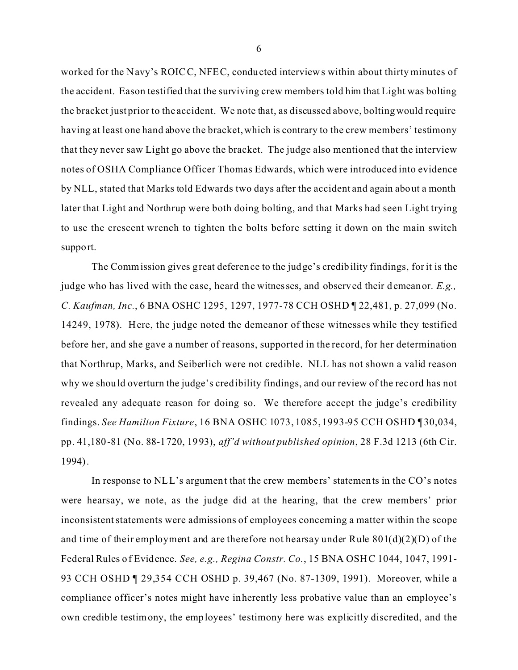worked for the Navy's ROICC, NFEC, conducted interviews within about thirty minutes of the accident. Eason testified that the surviving crew members told him that Light was bolting the bracket just prior to the accident. We note that, as discussed above, bolting would require having at least one hand above the bracket, which is contrary to the crew members' testimony that they never saw Light go above the bracket. The judge also mentioned that the interview notes of OSHA Compliance Officer Thomas Edwards, which were introduced into evidence by NLL, stated that Marks told Edwards two days after the accident and again about a month later that Light and Northrup were both doing bolting, and that Marks had seen Light trying to use the crescent wrench to tighten the bolts before setting it down on the main switch support.

The Commission gives great deference to the judge's credibility findings, for it is the judge who has lived with the case, heard the witnesses, and observed their demeanor. *E.g., C. Kaufman, Inc.*, 6 BNA OSHC 1295, 1297, 1977-78 CCH OSHD ¶ 22,481, p. 27,099 (No. 14249, 1978). Here, the judge noted the demeanor of these witnesses while they testified before her, and she gave a number of reasons, supported in the record, for her determination that Northrup, Marks, and Seiberlich were not credible. NLL has not shown a valid reason why we should overturn the judge's credibility findings, and our review of the record has not revealed any adequate reason for doing so. We therefore accept the judge's credibility findings. *See Hamilton Fixture*, 16 BNA OSHC 1073, 1085, 1993-95 CCH OSHD ¶ 30,034, pp. 41,180-81 (No. 88-1720, 1993), *aff'd without published opinion*, 28 F.3d 1213 (6th Cir. 1994).

In response to NLL's argument that the crew members' statements in the CO's notes were hearsay, we note, as the judge did at the hearing, that the crew members' prior inconsistent statements were admissions of employees concerning a matter within the scope and time of their employment and are therefore not hearsay under Rule  $801(d)(2)(D)$  of the Federal Rules of Evidence. *See, e.g., Regina Constr. Co.*, 15 BNA OSHC 1044, 1047, 1991- 93 CCH OSHD ¶ 29,354 CCH OSHD p. 39,467 (No. 87-1309, 1991). Moreover, while a compliance officer's notes might have inherently less probative value than an employee's own credible testimony, the employees' testimony here was explicitly discredited, and the

6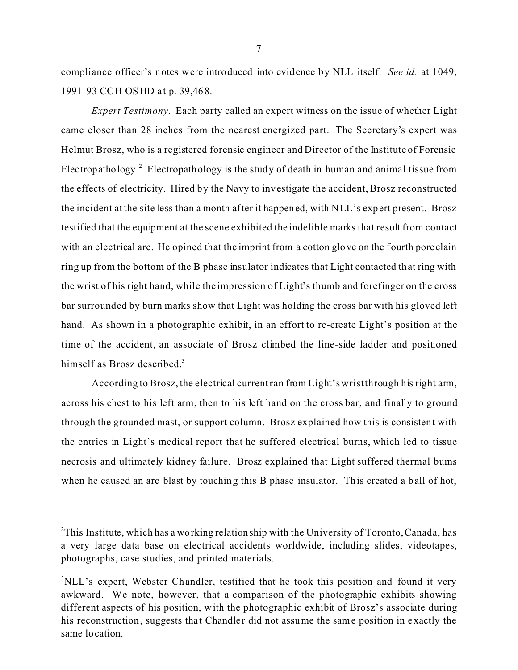compliance officer's notes were introduced into evidence by NLL itself. *See id.* at 1049, 1991-93 CCH OSHD at p. 39,468.

*Expert Testimony*. Each party called an expert witness on the issue of whether Light came closer than 28 inches from the nearest energized part. The Secretary's expert was Helmut Brosz, who is a registered forensic engineer and Director of the Institute of Forensic Electropathology.<sup>2</sup> Electropathology is the study of death in human and animal tissue from the effects of electricity. Hired by the Navy to investigate the accident, Brosz reconstructed the incident at the site less than a month after it happened, with NLL's expert present. Brosz testified that the equipment at the scene exhibited the indelible marks that result from contact with an electrical arc. He opined that the imprint from a cotton glove on the fourth porcelain ring up from the bottom of the B phase insulator indicates that Light contacted that ring with the wrist of his right hand, while the impression of Light's thumb and forefinger on the cross bar surrounded by burn marks show that Light was holding the cross bar with his gloved left hand. As shown in a photographic exhibit, in an effort to re-create Light's position at the time of the accident, an associate of Brosz climbed the line-side ladder and positioned himself as Brosz described.<sup>3</sup>

According to Brosz, the electrical current ran from Light's wrist through his right arm, across his chest to his left arm, then to his left hand on the cross bar, and finally to ground through the grounded mast, or support column. Brosz explained how this is consistent with the entries in Light's medical report that he suffered electrical burns, which led to tissue necrosis and ultimately kidney failure. Brosz explained that Light suffered thermal burns when he caused an arc blast by touching this B phase insulator. This created a ball of hot,

<sup>&</sup>lt;sup>2</sup>This Institute, which has a working relationship with the University of Toronto, Canada, has a very large data base on electrical accidents worldwide, including slides, videotapes, photographs, case studies, and printed materials.

<sup>&</sup>lt;sup>3</sup>NLL's expert, Webster Chandler, testified that he took this position and found it very awkward. We note, however, that a comparison of the photographic exhibits showing different aspects of his position, with the photographic exhibit of Brosz's associate during his reconstruction, suggests that Chandler did not assume the same position in exactly the same location.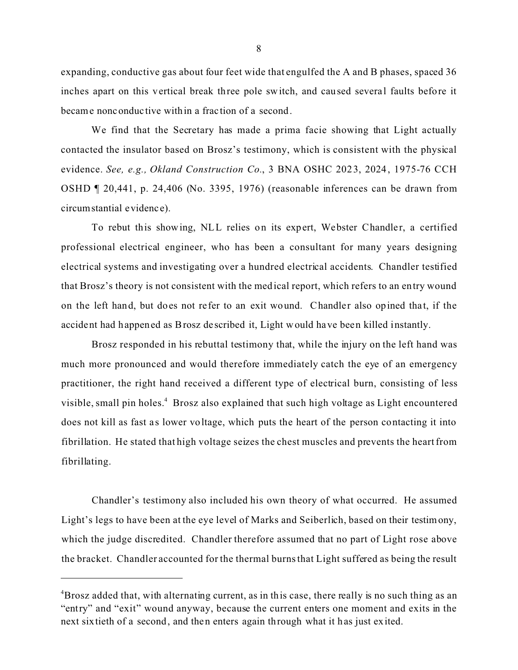expanding, conductive gas about four feet wide that engulfed the A and B phases, spaced 36 inches apart on this vertical break three pole switch, and caused several faults before it became nonconduc tive within a frac tion of a second.

We find that the Secretary has made a prima facie showing that Light actually contacted the insulator based on Brosz's testimony, which is consistent with the physical evidence. *See, e.g., Okland Construction Co.*, 3 BNA OSHC 2023, 2024 , 1975-76 CCH OSHD ¶ 20,441, p. 24,406 (No. 3395, 1976) (reasonable inferences can be drawn from circumstantial evidenc e).

To rebut this showing, NLL relies on its expert, Webster Chandler, a certified professional electrical engineer, who has been a consultant for many years designing electrical systems and investigating over a hundred electrical accidents. Chandler testified that Brosz's theory is not consistent with the medical report, which refers to an entry wound on the left hand, but does not refer to an exit wound. Chandler also opined that, if the accident had happened as Brosz described it, Light would have been killed instantly.

Brosz responded in his rebuttal testimony that, while the injury on the left hand was much more pronounced and would therefore immediately catch the eye of an emergency practitioner, the right hand received a different type of electrical burn, consisting of less visible, small pin holes.<sup>4</sup> Brosz also explained that such high voltage as Light encountered does not kill as fast as lower voltage, which puts the heart of the person contacting it into fibrillation. He stated that high voltage seizes the chest muscles and prevents the heart from fibrillating.

Chandler's testimony also included his own theory of what occurred. He assumed Light's legs to have been at the eye level of Marks and Seiberlich, based on their testim ony, which the judge discredited. Chandler therefore assumed that no part of Light rose above the bracket. Chandler accounted for the thermal burns that Light suffered as being the result

<sup>&</sup>lt;sup>4</sup>Brosz added that, with alternating current, as in this case, there really is no such thing as an "entry" and "exit" wound anyway, because the current enters one moment and exits in the next sixtieth of a second, and then enters again through what it has just exited.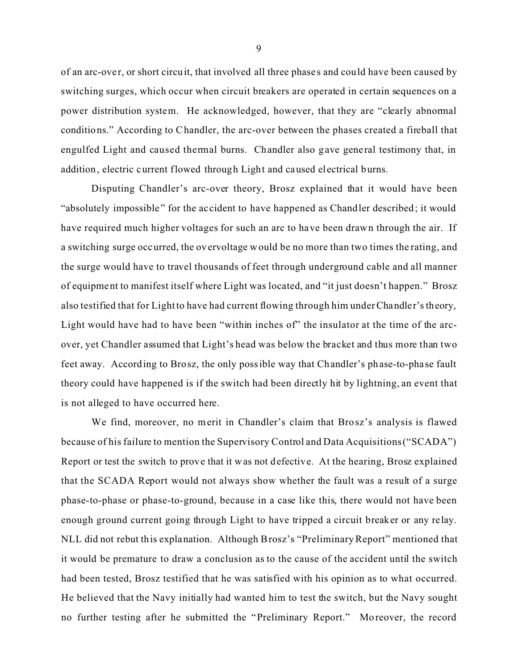of an arc-ove r, or short circuit, that involved all three phase s and could have been caused by switching surges, which occur when circuit breakers are operated in certain sequences on a power distribution system. He acknowledged, however, that they are "clearly abnormal conditions." According to Chandler, the arc-over between the phases created a fireball that engulfed Light and caused thermal burns. Chandler also gave general testimony that, in addition, electric current flowed through Light and caused electrical burns.

Disputing Chandler's arc-over theory, Brosz explained that it would have been "absolutely impossible" for the accident to have happened as Chandler described; it would have required much higher voltages for such an arc to have been drawn through the air. If a switching surge occurred, the overvoltage would be no more than two times the rating, and the surge would have to travel thousands of feet through underground cable and all manner of equipment to manifest itself where Light was located, and "it just doesn't happen." Brosz also testified that for Light to have had current flowing through him under Chandler's theory, Light would have had to have been "within inches of" the insulator at the time of the arcover, yet Chandler assumed that Light's head was below the bracket and thus more than two feet away. According to Brosz, the only possible way that Chandler's phase-to-phase fault theory could have happened is if the switch had been directly hit by lightning, an event that is not alleged to have occurred here.

We find, moreover, no merit in Chandler's claim that Brosz's analysis is flawed because of his failure to mention the Supervisory Control and Data Acquisitions ("SCADA") Report or test the switch to prove that it was not defective. At the hearing, Brosz explained that the SCADA Report would not always show whether the fault was a result of a surge phase-to-phase or phase-to-ground, because in a case like this, there would not have been enough ground current going through Light to have tripped a circuit breaker or any relay. NLL did not rebut this explanation. Although Brosz's "Preliminary Report" mentioned that it would be premature to draw a conclusion as to the cause of the accident until the switch had been tested, Brosz testified that he was satisfied with his opinion as to what occurred. He believed that the Navy initially had wanted him to test the switch, but the Navy sought no further testing after he submitted the "Preliminary Report." Moreover, the record

9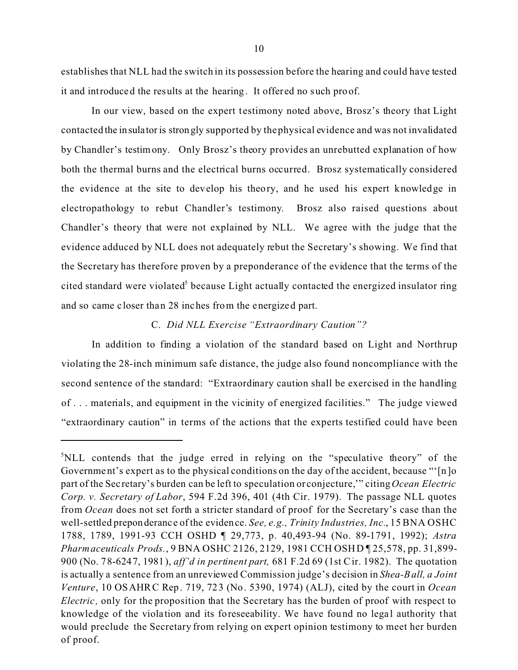establishes that NLL had the switch in its possession before the hearing and could have tested it and introduced the results at the hearing. It offered no such proof.

In our view, based on the expert testimony noted above, Brosz's theory that Light contacted the insulator is strongly supported by the physical evidence and was not invalidated by Chandler's testim ony. Only Brosz's theory provides an unrebutted explanation of how both the thermal burns and the electrical burns occurred. Brosz systematically considered the evidence at the site to develop his theory, and he used his expert knowledge in electropathology to rebut Chandler's testimony. Brosz also raised questions about Chandler's theory that were not explained by NLL. We agree with the judge that the evidence adduced by NLL does not adequately rebut the Secretary's showing. We find that the Secretary has therefore proven by a preponderance of the evidence that the terms of the cited standard were violated<sup>5</sup> because Light actually contacted the energized insulator ring and so came c loser than 28 inches from the energized part.

### C. *Did NLL Exercise "Extraordinary Caution"?*

In addition to finding a violation of the standard based on Light and Northrup violating the 28-inch minimum safe distance, the judge also found noncompliance with the second sentence of the standard: "Extraordinary caution shall be exercised in the handling of . . . materials, and equipment in the vicinity of energized facilities." The judge viewed "extraordinary caution" in terms of the actions that the experts testified could have been

<sup>5</sup> NLL contends that the judge erred in relying on the "speculative theory" of the Government's expert as to the physical conditions on the day of the accident, because "'[n]o part of the Sec retary's burden can be left to speculation or conjecture,'" citing *Ocean Electric Corp. v. Secretary of Labor*, 594 F.2d 396, 401 (4th Cir. 1979). The passage NLL quotes from *Ocean* does not set forth a stricter standard of proof for the Secretary's case than the well-settled preponderanc e of the evidence. *See, e.g., Trinity Industries, Inc.*, 15 BNA OSHC 1788, 1789, 1991-93 CCH OSHD ¶ 29,773, p. 40,493-94 (No. 89-1791, 1992); *Astra Pharmaceuticals Prods.*, 9 BNA OSHC 2126, 2129, 1981 CCH OSHD ¶ 25,578, pp. 31,899- 900 (No. 78-6247, 1981), *aff'd in pertinent part,* 681 F.2d 69 (1st Cir. 1982). The quotation is actually a sentence from an unreviewed Commission judge's decision in *Shea-B all, a Joint Venture*, 10 OSAHRC Rep. 719, 723 (No. 5390, 1974) (ALJ), cited by the court in *Ocean Electric*, only for the proposition that the Secretary has the burden of proof with respect to knowledge of the violation and its foreseeability. We have found no legal authority that would preclude the Secretary from relying on expert opinion testimony to meet her burden of proof.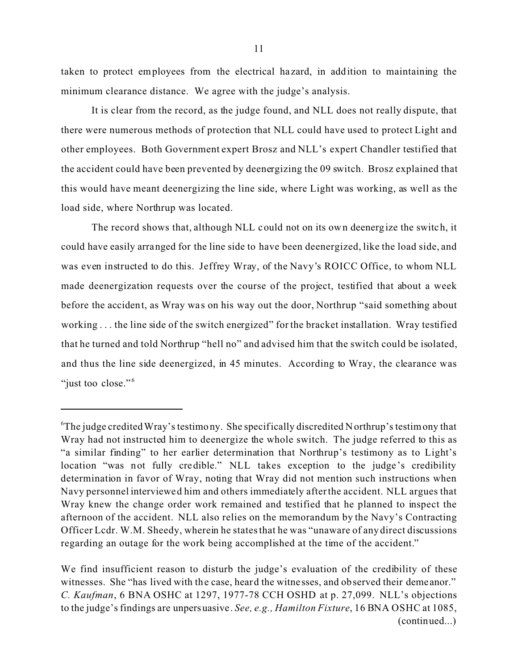taken to protect employees from the electrical ha zard, in addition to maintaining the minimum clearance distance. We agree with the judge's analysis.

It is clear from the record, as the judge found, and NLL does not really dispute, that there were numerous methods of protection that NLL could have used to protect Light and other employees. Both Government expert Brosz and NLL's expert Chandler testified that the accident could have been prevented by deenergizing the 09 switch. Brosz explained that this would have meant deenergizing the line side, where Light was working, as well as the load side, where Northrup was located.

The record shows that, although NLL could not on its own deenergize the switch, it could have easily arranged for the line side to have been deenergized, like the load side, and was even instructed to do this. Jeffrey Wray, of the Navy's ROICC Office, to whom NLL made deenergization requests over the course of the project, testified that about a week before the accident, as Wray was on his way out the door, Northrup "said something about working . . . the line side of the switch energized" for the bracket installation. Wray testified that he turned and told Northrup "hell no" and advised him that the switch could be isolated, and thus the line side deenergized, in 45 minutes. According to Wray, the clearance was "just too close."<sup>6</sup>

<sup>&</sup>lt;sup>6</sup>The judge credited Wray's testimony. She specifically discredited Northrup's testimony that Wray had not instructed him to deenergize the whole switch. The judge referred to this as "a similar finding" to her earlier determination that Northrup's testimony as to Light's location "was not fully credible." NLL takes exception to the judge 's credibility determination in favor of Wray, noting that Wray did not mention such instructions when Navy personnel interviewed him and others immediately after the accident. NLL argues that Wray knew the change order work remained and testified that he planned to inspect the afternoon of the accident. NLL also relies on the memorandum by the Navy's Contracting Officer Lcdr. W.M. Sheedy, wherein he states that he was "unaware of any direct discussions regarding an outage for the work being accomplished at the time of the accident."

We find insufficient reason to disturb the judge's evaluation of the credibility of these witnesses. She "has lived with the case, heard the witnesses, and observed their demeanor." *C. Kaufman*, 6 BNA OSHC at 1297, 1977-78 CCH OSHD at p. 27,099. NLL's objections to the judge's findings are unpersuasive. *See, e.g., Hamilton Fixture*, 16 BNA OSHC at 1085, (continued...)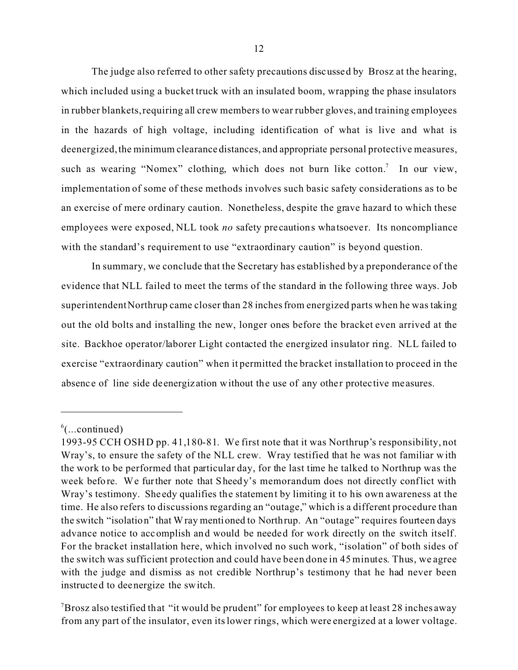The judge also referred to other safety precautions discussed by Brosz at the hearing, which included using a bucket truck with an insulated boom, wrapping the phase insulators in rubber blankets, requiring all crew members to wear rubber gloves, and training employees in the hazards of high voltage, including identification of what is live and what is deenergized, the minimum clearance distances, and appropriate personal protective measures, such as wearing "Nomex" clothing, which does not burn like cotton.<sup>7</sup> In our view, implementation of some of these methods involves such basic safety considerations as to be an exercise of mere ordinary caution. Nonetheless, despite the grave hazard to which these employees were exposed, NLL took *no* safety pre cautions whatsoever. Its noncompliance with the standard's requirement to use "extraordinary caution" is beyond question.

In summary, we conclude that the Secretary has established by a preponderance of the evidence that NLL failed to meet the terms of the standard in the following three ways. Job superintendent Northrup came closer than 28 inches from energized parts when he was taking out the old bolts and installing the new, longer ones before the bracket even arrived at the site. Backhoe operator/laborer Light contacted the energized insulator ring. NLL failed to exercise "extraordinary caution" when it permitted the bracket installation to proceed in the absenc e of line side deenergiz ation without the use of any other protective measures.

 $^6$ (...continued)

<sup>1993-95</sup> CCH OSHD pp. 41,180-81. We first note that it was Northrup's responsibility, not Wray's, to ensure the safety of the NLL crew. Wray testified that he was not familiar w ith the work to be performed that particular day, for the last time he talked to Northrup was the week before. We further note that Sheedy's memorandum does not directly conflict with Wray's testimony. She edy qualifies the statement by limiting it to his own awareness at the time. He also refers to discussions regarding an "outage," which is a different procedure than the switch "isolation" that Wray mentioned to Northrup. An "outage" requires fourteen days advance notice to accomplish and would be needed for work directly on the switch itself. For the bracket installation here, which involved no such work, "isolation" of both sides of the switch was sufficient protection and could have been done in 45 minutes. Thus, we agree with the judge and dismiss as not credible Northrup's testimony that he had never been instructed to deenergize the switch.

<sup>&</sup>lt;sup>7</sup>Brosz also testified that "it would be prudent" for employees to keep at least 28 inches away from any part of the insulator, even its lower rings, which were energized at a lower voltage.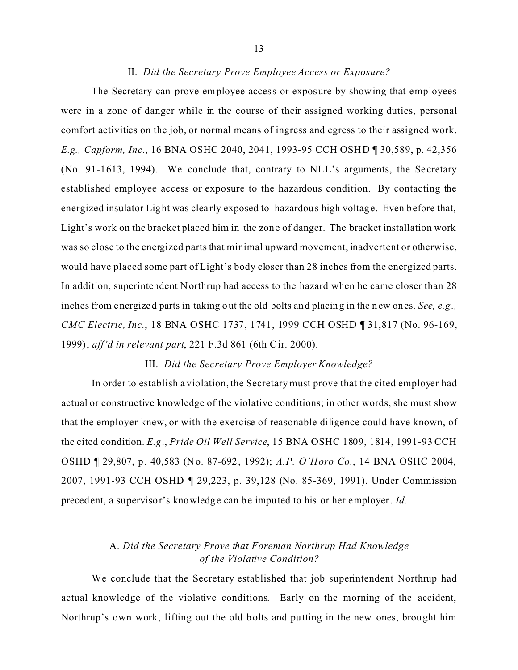### II. *Did the Secretary Prove Employee Access or Exposure?*

The Secretary can prove employee access or exposure by showing that employees were in a zone of danger while in the course of their assigned working duties, personal comfort activities on the job, or normal means of ingress and egress to their assigned work. *E.g., Capform, Inc.*, 16 BNA OSHC 2040, 2041, 1993-95 CCH OSHD ¶ 30,589, p. 42,356 (No. 91-1613, 1994). We conclude that, contrary to NLL's arguments, the Secretary established employee access or exposure to the hazardous condition. By contacting the energized insulator Light was clearly exposed to hazardous high voltage. Even before that, Light's work on the bracket placed him in the zone of danger. The bracket installation work was so close to the energized parts that minimal upward movement, inadvertent or otherwise, would have placed some part of Light's body closer than 28 inches from the energized parts. In addition, superintendent Northrup had access to the hazard when he came closer than 28 inches from energized parts in taking out the old bolts and placing in the new ones. *See, e.g., CMC Electric, Inc.*, 18 BNA OSHC 1737, 1741, 1999 CCH OSHD ¶ 31,817 (No. 96-169, 1999), *aff'd in relevant part*, 221 F.3d 861 (6th C ir. 2000).

## III. *Did the Secretary Prove Employer Knowledge?*

In order to establish a violation, the Secretary must prove that the cited employer had actual or constructive knowledge of the violative conditions; in other words, she must show that the employer knew, or with the exercise of reasonable diligence could have known, of the cited condition. *E.g*., *Pride Oil Well Service*, 15 BNA OSHC 1809, 1814, 1991-93 CCH OSHD ¶ 29,807, p. 40,583 (No. 87-692, 1992); *A.P. O'Horo Co.*, 14 BNA OSHC 2004, 2007, 1991-93 CCH OSHD ¶ 29,223, p. 39,128 (No. 85-369, 1991). Under Commission precedent, a supervisor's knowledge can be imputed to his or her employer. *Id*.

# A. *Did the Secretary Prove that Foreman Northrup Had Knowledge of the Violative Condition?*

We conclude that the Secretary established that job superintendent Northrup had actual knowledge of the violative conditions. Early on the morning of the accident, Northrup's own work, lifting out the old bolts and putting in the new ones, brought him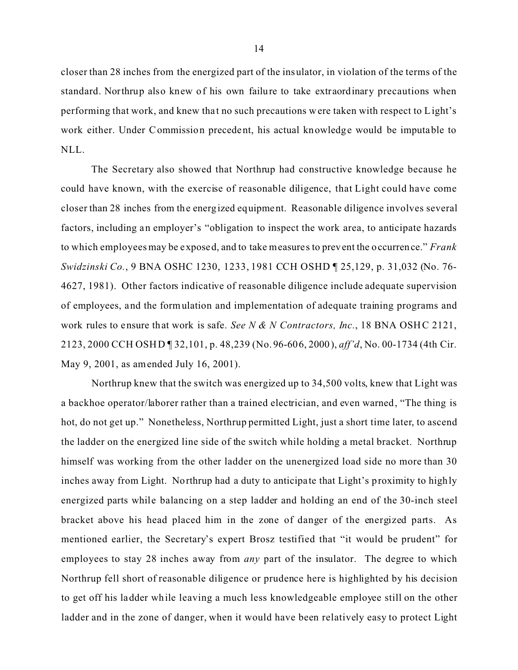closer than 28 inches from the energized part of the insulator, in violation of the terms of the standard. Northrup also knew of his own failure to take extraordinary precautions when performing that work, and knew that no such precautions were taken with respect to Light's work either. Under Commission precedent, his actual knowledge would be imputable to NLL.

The Secretary also showed that Northrup had constructive knowledge because he could have known, with the exercise of reasonable diligence, that Light could have come closer than 28 inches from the energized equipment. Reasonable diligence involves several factors, including an employer's "obligation to inspect the work area, to anticipate hazards to which employees may be exposed, and to take measures to prevent the occurrence." *Frank Swidzinski Co.*, 9 BNA OSHC 1230, 1233, 1981 CCH OSHD ¶ 25,129, p. 31,032 (No. 76- 4627, 1981). Other factors indicative of reasonable diligence include adequate supervision of employees, and the formulation and implementation of adequate training programs and work rules to ensure that work is safe. *See N & N Contractors, Inc.*, 18 BNA OSHC 2121, 2123, 2000 CCH OSHD ¶ 32,101, p. 48,239 (No. 96-606, 2000), *aff'd*, No. 00-1734 (4th Cir. May 9, 2001, as amended July 16, 2001).

Northrup knew that the switch was energized up to 34,500 volts, knew that Light was a backhoe operator/laborer rather than a trained electrician, and even warned, "The thing is hot, do not get up." Nonetheless, Northrup permitted Light, just a short time later, to ascend the ladder on the energized line side of the switch while holding a metal bracket. Northrup himself was working from the other ladder on the unenergized load side no more than 30 inches away from Light. Northrup had a duty to anticipate that Light's proximity to highly energized parts while balancing on a step ladder and holding an end of the 30-inch steel bracket above his head placed him in the zone of danger of the energized parts. As mentioned earlier, the Secretary's expert Brosz testified that "it would be prudent" for employees to stay 28 inches away from *any* part of the insulator. The degree to which Northrup fell short of reasonable diligence or prudence here is highlighted by his decision to get off his ladder while leaving a much less knowledgeable employee still on the other ladder and in the zone of danger, when it would have been relatively easy to protect Light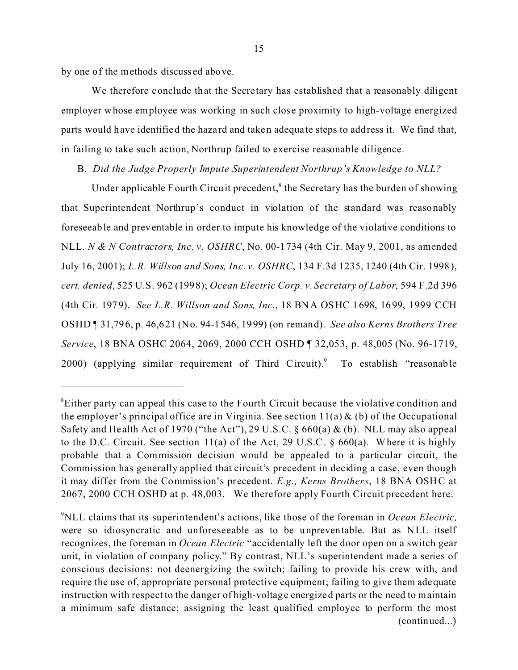by one of the methods discuss ed above.

We therefore conclude that the Secretary has established that a reasonably diligent employer whose employee was working in such close proximity to high-voltage energized parts would have identified the hazard and taken adequa te steps to address it. We find that, in failing to take such action, Northrup failed to exercise reasonable diligence.

## B. *Did the Judge Properly Impute Superintendent Northrup's Knowledge to NLL?*

Under applicable Fourth Circuit precedent,<sup>8</sup> the Secretary has the burden of showing that Superintendent Northrup's conduct in violation of the standard was reasonably foreseeable and preventable in order to impute his knowledge of the violative conditions to NLL. *N & N Contractors, Inc. v. OSHRC*, No. 00-1734 (4th Cir. May 9, 2001, as amended July 16, 2001); *L.R. Willson and Sons, Inc. v. OSHRC*, 134 F.3d 1235, 1240 (4th Cir. 1998), *cert. denied*, 525 U.S. 962 (1998); *Ocean Electric Corp. v. Secretary of Labor*, 594 F.2d 396 (4th Cir. 1979). *See L.R. Willson and Sons, Inc*., 18 BNA OSHC 1698, 1699, 1999 CCH OSHD ¶ 31,796, p. 46,621 (No. 94-1546, 1999) (on remand). *See also Kerns Brothers Tree Service*, 18 BNA OSHC 2064, 2069, 2000 CCH OSHD ¶ 32,053, p. 48,005 (No. 96-1719, 2000) (applying similar requirement of Third Circuit).<sup>9</sup> To establish "reasonable"

 ${}^8$ Either party can appeal this case to the Fourth Circuit because the violative condition and the employer's principal office are in Virginia. See section  $11(a) \& (b)$  of the Occupational Safety and Health Act of 1970 ("the Act"), 29 U.S.C.  $\S 660(a) \& (b)$ . NLL may also appeal to the D.C. Circuit. See section 11(a) of the Act, 29 U.S.C.  $\S$  660(a). Where it is highly probable that a Commission de cision would be appealed to a particular circuit, the Commission has generally applied that circuit's precedent in deciding a case, even though it may differ from the Commission's precedent. *E.g., Kerns Brothers*, 18 BNA OSHC at 2067, 2000 CCH OSHD at p. 48,003. We therefore apply Fourth Circuit precedent here.

<sup>9</sup> NLL claims that its superintendent's actions, like those of the foreman in *Ocean Electric,*  were so idiosyncratic and unforeseeable as to be unpreventable. But as NLL itself recognizes, the foreman in *Ocean Electric* "accidentally left the door open on a switch gear unit, in violation of company policy." By contrast, NLL's superintendent made a series of conscious decisions: not deenergizing the switch; failing to provide his crew with, and require the use of, appropriate personal protective equipment; failing to give them adequate instruction with respect to the danger of high-voltage energized parts or the need to maintain a minimum safe distance; assigning the least qualified employee to perform the most (continued...)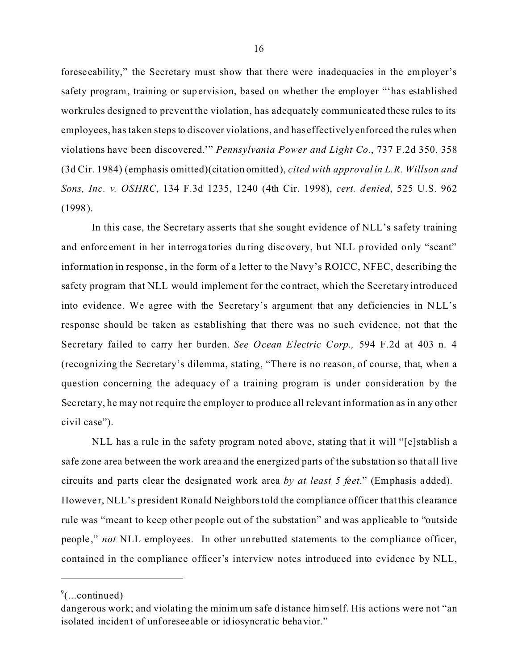foreseeability," the Secretary must show that there were inadequacies in the employer's safety program, training or supervision, based on whether the employer "'has established workrules designed to prevent the violation, has adequately communicated these rules to its employees, has taken steps to discover violations, and has effectively enforced the rules when violations have been discovered.'" *Pennsylvania Power and Light Co.*, 737 F.2d 350, 358 (3d Cir. 1984) (emphasis omitted)(citation omitted), *cited with approval in L.R. Willson and Sons, Inc. v. OSHRC*, 134 F.3d 1235, 1240 (4th Cir. 1998), *cert. denied*, 525 U.S. 962 (1998).

In this case, the Secretary asserts that she sought evidence of NLL's safety training and enforc ement in her interrogatories during discovery, but NLL provided only "scant" information in response , in the form of a letter to the Navy's ROICC, NFEC, describing the safety program that NLL would implement for the contract, which the Secretary introduced into evidence. We agree with the Secretary's argument that any deficiencies in NLL's response should be taken as establishing that there was no such evidence, not that the Secretary failed to carry her burden. *See Ocean Electric Corp.,* 594 F.2d at 403 n. 4 (recognizing the Secretary's dilemma, stating, "There is no reason, of course, that, when a question concerning the adequacy of a training program is under consideration by the Secretary, he may not require the employer to produce all relevant information as in any other civil case").

NLL has a rule in the safety program noted above, stating that it will "[e]stablish a safe zone area between the work area and the energized parts of the substation so that all live circuits and parts clear the designated work area *by at least 5 feet*." (Emphasis added). However, NLL's president Ronald Neighbors told the compliance officer that this clearance rule was "meant to keep other people out of the substation" and was applicable to "outside people ," *not* NLL employees. In other unrebutted statements to the compliance officer, contained in the compliance officer's interview notes introduced into evidence by NLL,

 $\degree$ (...continued)

dangerous work; and violating the minimum safe distance himself. His actions were not "an isolated incident of unforeseeable or idiosyncratic behavior."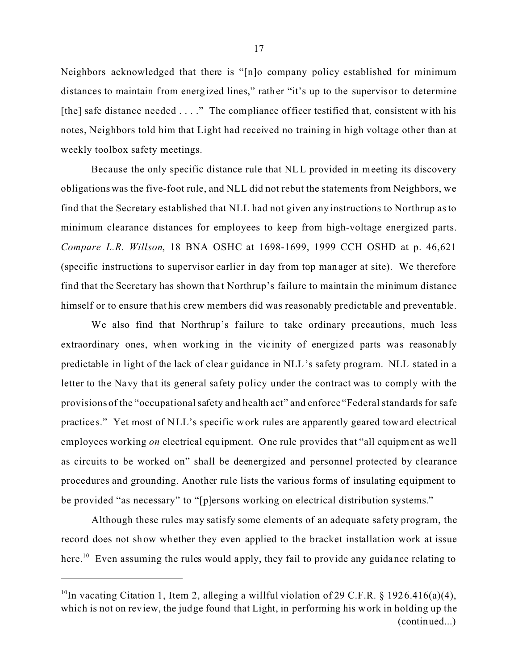Neighbors acknowledged that there is "[n]o company policy established for minimum distances to maintain from energized lines," rather "it's up to the supervisor to determine [the] safe distance needed . . . ." The compliance officer testified that, consistent with his notes, Neighbors told him that Light had received no training in high voltage other than at weekly toolbox safety meetings.

Because the only specific distance rule that NLL provided in meeting its discovery obligations was the five-foot rule, and NLL did not rebut the statements from Neighbors, we find that the Secretary established that NLL had not given any instructions to Northrup as to minimum clearance distances for employees to keep from high-voltage energized parts. *Compare L.R. Willson*, 18 BNA OSHC at 1698-1699, 1999 CCH OSHD at p. 46,621 (specific instructions to supervisor earlier in day from top manager at site). We therefore find that the Secretary has shown that Northrup's failure to maintain the minimum distance himself or to ensure that his crew members did was reasonably predictable and preventable.

We also find that Northrup's failure to take ordinary precautions, much less extraordinary ones, when working in the vicinity of energized parts was reasonably predictable in light of the lack of clear guidance in NLL's safety program. NLL stated in a letter to the Navy that its general safety policy under the contract was to comply with the provisions of the "occupational safety and health act" and enforce "Federal standards for safe practice s." Yet most of NLL's specific work rules are apparently geared toward electrical employees working *on* electrical equipment. One rule provides that "all equipment as well as circuits to be worked on" shall be deenergized and personnel protected by clearance procedures and grounding. Another rule lists the various forms of insulating equipment to be provided "as necessary" to "[p]ersons working on electrical distribution systems."

Although these rules may satisfy some elements of an adequate safety program, the record does not show whether they even applied to the bracket installation work at issue here.<sup>10</sup> Even assuming the rules would apply, they fail to provide any guidance relating to

<sup>&</sup>lt;sup>10</sup>In vacating Citation 1, Item 2, alleging a willful violation of 29 C.F.R. § 1926.416(a)(4), which is not on review, the judge found that Light, in performing his work in holding up the (continued...)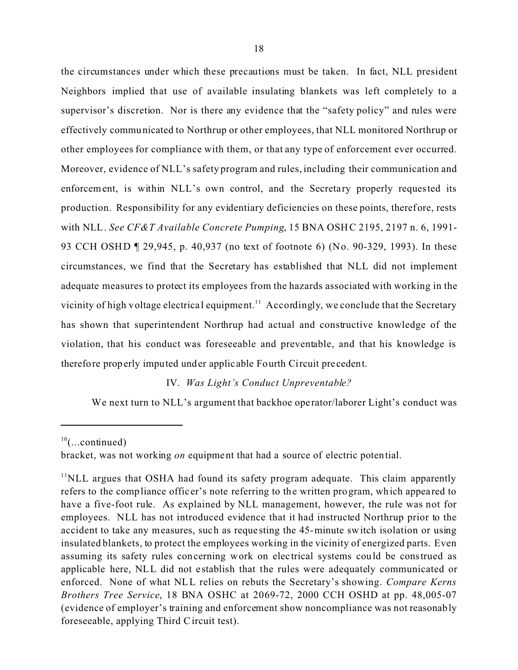the circumstances under which these precautions must be taken. In fact, NLL president Neighbors implied that use of available insulating blankets was left completely to a supervisor's discretion. Nor is there any evidence that the "safety policy" and rules were effectively communicated to Northrup or other employees, that NLL monitored Northrup or other employees for compliance with them, or that any type of enforcement ever occurred. Moreover, evidence of NLL's safety program and rules, including their communication and enforcement, is within NLL's own control, and the Secretary properly requested its production. Responsibility for any evidentiary deficiencies on these points, therefore, rests with NLL. *See CF&T Available Concrete Pumping*, 15 BNA OSHC 2195, 2197 n. 6, 1991-93 CCH OSHD ¶ 29,945, p. 40,937 (no text of footnote 6) (No. 90-329, 1993). In these circumstances, we find that the Secretary has established that NLL did not implement adequate measures to protect its employees from the hazards associated with working in the vicinity of high voltage electrical equipment.<sup>11</sup> Accordingly, we conclude that the Secretary has shown that superintendent Northrup had actual and constructive knowledge of the violation, that his conduct was foreseeable and preventable, and that his knowledge is therefore properly imputed under applic able Fourth Circuit precedent.

# IV. *Was Light's Conduct Unpreventable?*

We next turn to NLL's argument that backhoe operator/laborer Light's conduct was

 $10$ (...continued)

bracket, was not working *on* equipment that had a source of electric potential.

 $11$ NLL argues that OSHA had found its safety program adequate. This claim apparently refers to the compliance officer's note referring to the written program, which appeared to have a five-foot rule. As explained by NLL management, however, the rule was not for employees. NLL has not introduced evidence that it had instructed Northrup prior to the accident to take any measures, such as reque sting the 45-minute switch isolation or using insulated blankets, to protect the employees working in the vicinity of energized parts. Even assuming its safety rules concerning work on elec trical systems could be construed as applicable here, NLL did not e stablish that the rules were adequately communicated or enforced. None of what NLL relies on rebuts the Secretary's showing. *Compare Kerns Brothers Tree Service*, 18 BNA OSHC at 2069-72, 2000 CCH OSHD at pp. 48,005-07 (evidence of employer's training and enforcement show noncompliance was not reasonably foreseeable, applying Third C ircuit test).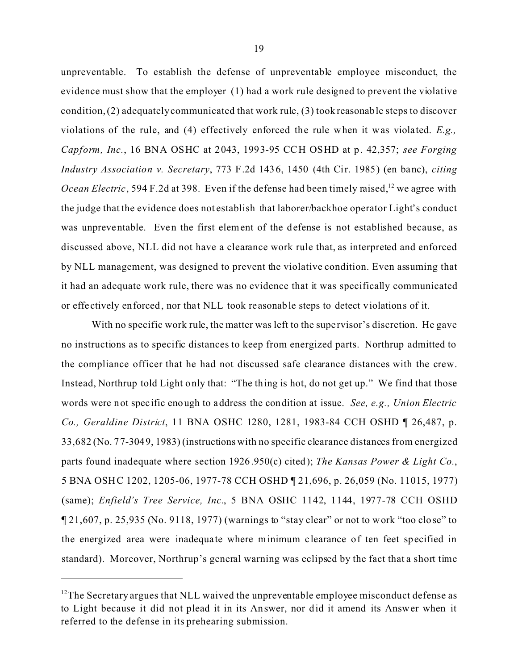unpreventable. To establish the defense of unpreventable employee misconduct, the evidence must show that the employer (1) had a work rule designed to prevent the violative condition, (2) adequately communicated that work rule, (3) took reasonable steps to discover violations of the rule, and (4) effectively enforced the rule when it was violated. *E.g., Capform, Inc.*, 16 BNA OSHC at 2043, 1993-95 CCH OSHD at p. 42,357; *see Forging Industry Association v. Secretary*, 773 F.2d 1436, 1450 (4th Cir. 1985) (en banc), *citing Ocean Electric*, 594 F.2d at 398. Even if the defense had been timely raised,<sup>12</sup> we agree with the judge that the evidence does not establish that laborer/backhoe operator Light's conduct was unpreventable. Even the first element of the defense is not established because, as discussed above, NLL did not have a clearance work rule that, as interpreted and enforced by NLL management, was designed to prevent the violative condition. Even assuming that it had an adequate work rule, there was no evidence that it was specifically communicated or effe ctively enforced, nor that NLL took reasonable steps to detect violations of it.

With no specific work rule, the matter was left to the supervisor's discretion. He gave no instructions as to specific distances to keep from energized parts. Northrup admitted to the compliance officer that he had not discussed safe clearance distances with the crew. Instead, Northrup told Light only that: "The thing is hot, do not get up." We find that those words were not specific enough to address the condition at issue. *See, e.g., Union Electric Co., Geraldine District*, 11 BNA OSHC 1280, 1281, 1983-84 CCH OSHD ¶ 26,487, p. 33,682 (No. 77-3049, 1983) (instructions with no specific clearance distances from energized parts found inadequate where section 1926.950(c) cited); *The Kansas Power & Light Co.*, 5 BNA OSHC 1202, 1205-06, 1977-78 CCH OSHD ¶ 21,696, p. 26,059 (No. 11015, 1977) (same); *Enfield's Tree Service, Inc.*, 5 BNA OSHC 1142, 1144, 1977-78 CCH OSHD  $\P$  21,607, p. 25,935 (No. 9118, 1977) (warnings to "stay clear" or not to work "too close" to the energized area were inadequate where minimum clearance of ten feet specified in standard). Moreover, Northrup's general warning was eclipsed by the fact that a short time

 $12$ The Secretary argues that NLL waived the unpreventable employee misconduct defense as to Light because it did not plead it in its Answer, nor did it amend its Answer when it referred to the defense in its prehearing submission.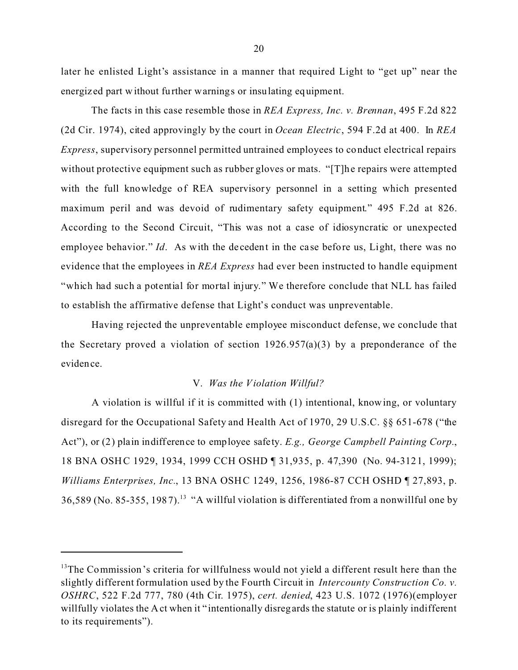later he enlisted Light's assistance in a manner that required Light to "get up" near the energiz ed part without further warnings or insulating equipment.

The facts in this case resemble those in *REA Express, Inc. v. Brennan*, 495 F.2d 822 (2d Cir. 1974), cited approvingly by the court in *Ocean Electric*, 594 F.2d at 400. In *REA Express*, supervisory personnel permitted untrained employees to conduct electrical repairs without protective equipment such as rubber gloves or mats. "[T]he repairs were attempted with the full knowledge of REA supervisory personnel in a setting which presented maximum peril and was devoid of rudimentary safety equipment." 495 F.2d at 826. According to the Second Circuit, "This was not a case of idiosyncratic or unexpected employee behavior." *Id*. As with the decedent in the case before us, Light, there was no evidence that the employees in *REA Express* had ever been instructed to handle equipment "which had such a potential for mortal injury." We therefore conclude that NLL has failed to establish the affirmative defense that Light's conduct was unpreventable.

Having rejected the unpreventable employee misconduct defense, we conclude that the Secretary proved a violation of section  $1926.957(a)(3)$  by a preponderance of the evidence.

### V. *Was the Violation Willful?*

A violation is willful if it is committed with (1) intentional, know ing, or voluntary disregard for the Occupational Safety and Health Act of 1970, 29 U.S.C. §§ 651-678 ("the Act"), or (2) plain indifference to employee safety. *E.g., George Campbell Painting Corp.*, 18 BNA OSHC 1929, 1934, 1999 CCH OSHD ¶ 31,935, p. 47,390 (No. 94-3121, 1999); *Williams Enterprises, Inc.*, 13 BNA OSHC 1249, 1256, 1986-87 CCH OSHD ¶ 27,893, p.  $36,589$  (No. 85-355, 1987).<sup>13</sup> "A willful violation is differentiated from a nonwillful one by

 $13$ The Commission's criteria for willfulness would not yield a different result here than the slightly different formulation used by the Fourth Circuit in *Intercounty Construction Co. v. OSHRC*, 522 F.2d 777, 780 (4th Cir. 1975), *cert. denied*, 423 U.S. 1072 (1976)(employer willfully violates the Act when it "intentionally disregards the statute or is plainly indifferent to its requirements").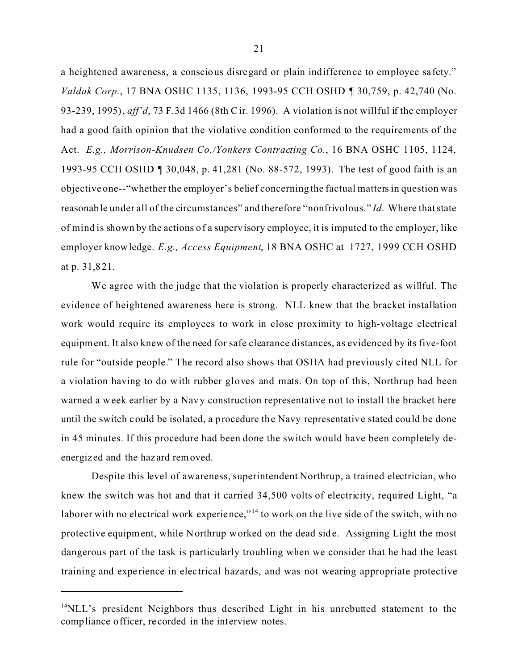a heightened awareness, a conscious disregard or plain indifference to employee safety." *Valdak Corp.*, 17 BNA OSHC 1135, 1136, 1993-95 CCH OSHD ¶ 30,759, p. 42,740 (No. 93-239, 1995), *aff'd*, 73 F.3d 1466 (8th C ir. 1996). A violation is not willful if the employer had a good faith opinion that the violative condition conformed to the requirements of the Act. *E.g., Morrison-Knudsen Co./Yonkers Contracting Co.*, 16 BNA OSHC 1105, 1124, 1993-95 CCH OSHD ¶ 30,048, p. 41,281 (No. 88-572, 1993). The test of good faith is an objective one--"whether the employer's belief concerning the factual matters in question was reasonable under all of the circumstances" and therefore "nonfrivolous." *Id*. Where that state of mind is shown by the actions of a supervisory employee, it is imputed to the employer, like employer knowledge. *E.g., Access Equipment*, 18 BNA OSHC at 1727, 1999 CCH OSHD at p. 31,821.

We agree with the judge that the violation is properly characterized as willful. The evidence of heightened awareness here is strong. NLL knew that the bracket installation work would require its employees to work in close proximity to high-voltage electrical equipment. It also knew of the need for safe clearance distances, as evidenced by its five-foot rule for "outside people." The record also shows that OSHA had previously cited NLL for a violation having to do with rubber gloves and mats. On top of this, Northrup had been warned a week earlier by a Navy construction representative not to install the bracket here until the switch could be isolated, a procedure the Navy representative stated could be done in 45 minutes. If this procedure had been done the switch would have been completely deenergiz ed and the hazard removed.

Despite this level of awareness, superintendent Northrup, a trained electrician, who knew the switch was hot and that it carried 34,500 volts of electricity, required Light, "a laborer with no electrical work experience,"<sup>14</sup> to work on the live side of the switch, with no protective equipment, while Northrup worked on the dead side. Assigning Light the most dangerous part of the task is particularly troubling when we consider that he had the least training and expe rience in elec trical hazards, and was not wearing appropriate protective

<sup>&</sup>lt;sup>14</sup>NLL's president Neighbors thus described Light in his unrebutted statement to the compliance officer, re corded in the interview notes.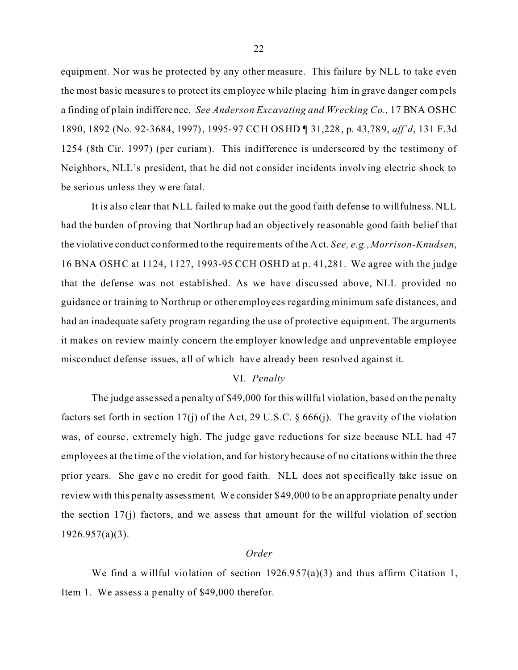equipment. Nor was he protected by any other measure. This failure by NLL to take even the most basic measure s to protect its employee while placing him in grave danger compels a finding of plain indifference. *See Anderson Excavating and Wrecking Co.*, 17 BNA OSHC 1890, 1892 (No. 92-3684, 1997), 1995-97 CCH OSHD ¶ 31,228, p. 43,789, *aff'd*, 131 F.3d 1254 (8th Cir. 1997) (per curiam). This indifference is underscored by the testimony of Neighbors, NLL's president, that he did not consider incidents involving electric shock to be serious unless they were fatal.

It is also clear that NLL failed to make out the good faith defense to willfulness. NLL had the burden of proving that Northrup had an objectively re asonable good faith belief that the violative conduct conformed to the requirements of the Act. *See, e.g., Morrison-Knudsen*, 16 BNA OSHC at 1124, 1127, 1993-95 CCH OSHD at p. 41,281. We agree with the judge that the defense was not established. As we have discussed above, NLL provided no guidance or training to Northrup or other employees regarding minimum safe distances, and had an inadequate safety program regarding the use of protective equipment. The arguments it makes on review mainly concern the employer knowledge and unpreventable employee misconduct defense issues, all of which have already been resolved against it.

## VI. *Penalty*

The judge asse ssed a penalty of \$49,000 for this willful violation, based on the penalty factors set forth in section 17(j) of the Act, 29 U.S.C. § 666(j). The gravity of the violation was, of course, extremely high. The judge gave reductions for size because NLL had 47 employees at the time of the violation, and for history because of no citations within the three prior years. She gave no credit for good faith. NLL does not specifically take issue on review with this penalty assessment. We consider \$49,000 to be an appropriate penalty under the section 17(j) factors, and we assess that amount for the willful violation of section 1926.957(a)(3).

### *Order*

We find a willful violation of section  $1926.957(a)(3)$  and thus affirm Citation 1, Item 1. We assess a penalty of \$49,000 therefor.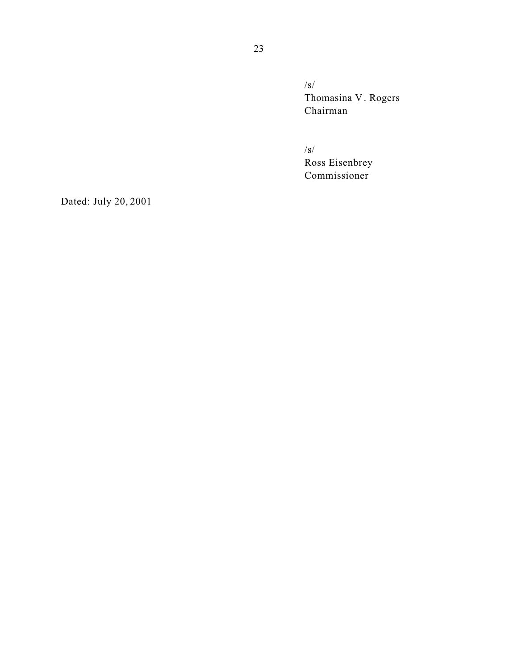/s/ Thomasina V . Rogers Chairman

/s/ Ross Eisenbrey Commissioner

Dated: July 20, 2001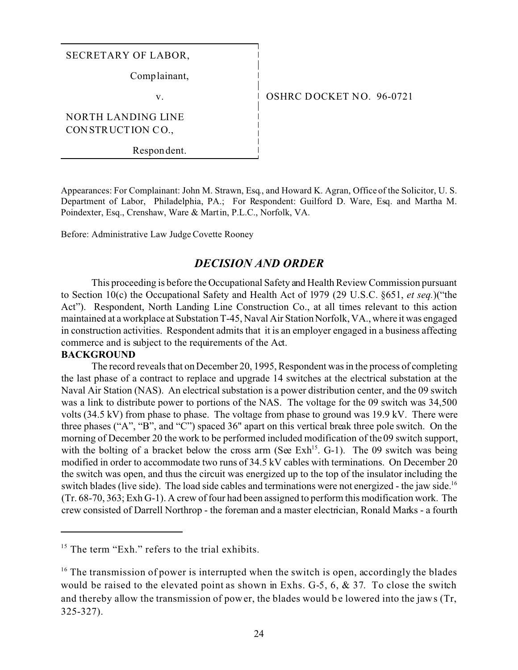# SECRETARY OF LABOR,

Comp lainant,

v.

OSHRC DOCKET NO. 96-0721

NORTH LANDING LINE CONSTRUCTION CO.,

Respon dent.

Appearances: For Complainant: John M. Strawn, Esq., and Howard K. Agran, Office of the Solicitor, U. S. Department of Labor, Philadelphia, PA.; For Respondent: Guilford D. Ware, Esq. and Martha M. Poindexter, Esq., Crenshaw, Ware & Martin, P.L.C., Norfolk, VA.

Before: Administrative Law Judge Covette Rooney

# *DECISION AND ORDER*

This proceeding is before the Occupational Safety and Health Review Commission pursuant to Section 10(c) the Occupational Safety and Health Act of 1979 (29 U.S.C. §651, *et seq.*)("the Act"). Respondent, North Landing Line Construction Co., at all times relevant to this action maintained at a workplace at Substation T-45, Naval Air Station Norfolk, VA., where it was engaged in construction activities. Respondent admits that it is an employer engaged in a business affecting commerce and is subject to the requirements of the Act.

### **BACKGROUND**

The record reveals that on December 20, 1995, Respondent was in the process of completing the last phase of a contract to replace and upgrade 14 switches at the electrical substation at the Naval Air Station (NAS). An electrical substation is a power distribution center, and the 09 switch was a link to distribute power to portions of the NAS. The voltage for the 09 switch was 34,500 volts (34.5 kV) from phase to phase. The voltage from phase to ground was 19.9 kV. There were three phases ("A", "B", and "C") spaced 36" apart on this vertical break three pole switch. On the morning of December 20 the work to be performed included modification of the 09 switch support, with the bolting of a bracket below the cross arm (See Exh<sup>15</sup>. G-1). The 09 switch was being modified in order to accommodate two runs of 34.5 kV cables with terminations. On December 20 the switch was open, and thus the circuit was energized up to the top of the insulator including the switch blades (live side). The load side cables and terminations were not energized - the jaw side.<sup>16</sup> (Tr. 68-70, 363; Exh G-1). A crew of four had been assigned to perform this modification work. The crew consisted of Darrell Northrop - the foreman and a master electrician, Ronald Marks - a fourth

 $15$  The term "Exh." refers to the trial exhibits.

 $16$  The transmission of power is interrupted when the switch is open, accordingly the blades would be raised to the elevated point as shown in Exhs. G-5, 6, & 37. To close the switch and thereby allow the transmission of power, the blades would be lowered into the jaws (Tr, 325-327).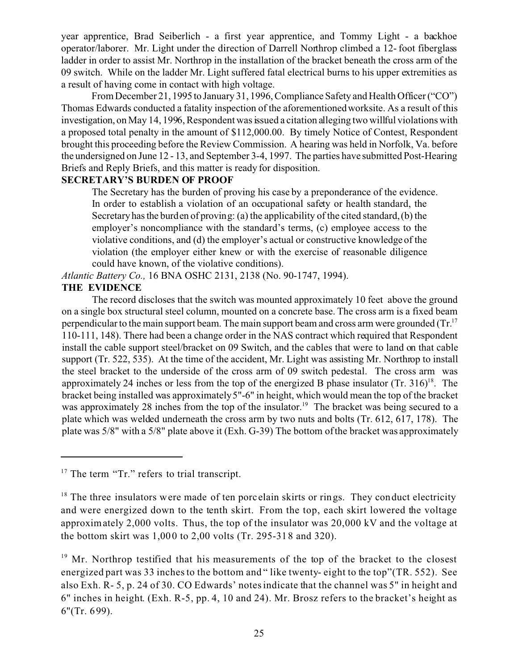year apprentice, Brad Seiberlich - a first year apprentice, and Tommy Light - a backhoe operator/laborer. Mr. Light under the direction of Darrell Northrop climbed a 12- foot fiberglass ladder in order to assist Mr. Northrop in the installation of the bracket beneath the cross arm of the 09 switch. While on the ladder Mr. Light suffered fatal electrical burns to his upper extremities as a result of having come in contact with high voltage.

From December 21, 1995 to January 31, 1996, Compliance Safety and Health Officer ("CO") Thomas Edwards conducted a fatality inspection of the aforementioned worksite. As a result of this investigation, on May 14, 1996, Respondent was issued a citation alleging two willful violations with a proposed total penalty in the amount of \$112,000.00. By timely Notice of Contest, Respondent brought this proceeding before the Review Commission. A hearing was held in Norfolk, Va. before the undersigned on June 12 - 13, and September 3-4, 1997. The parties have submitted Post-Hearing Briefs and Reply Briefs, and this matter is ready for disposition.

# **SECRETARY'S BURDEN OF PROOF**

The Secretary has the burden of proving his case by a preponderance of the evidence. In order to establish a violation of an occupational safety or health standard, the Secretary has the burden of proving: (a) the applicability of the cited standard, (b) the employer's noncompliance with the standard's terms, (c) employee access to the violative conditions, and (d) the employer's actual or constructive knowledge of the violation (the employer either knew or with the exercise of reasonable diligence could have known, of the violative conditions).

*Atlantic Battery Co.,* 16 BNA OSHC 2131, 2138 (No. 90-1747, 1994).

# **THE EVIDENCE**

The record discloses that the switch was mounted approximately 10 feet above the ground on a single box structural steel column, mounted on a concrete base. The cross arm is a fixed beam perpendicular to the main support beam. The main support beam and cross arm were grounded  $(Tr)^{17}$ 110-111, 148). There had been a change order in the NAS contract which required that Respondent install the cable support steel/bracket on 09 Switch, and the cables that were to land on that cable support (Tr. 522, 535). At the time of the accident, Mr. Light was assisting Mr. Northrop to install the steel bracket to the underside of the cross arm of 09 switch pedestal. The cross arm was approximately 24 inches or less from the top of the energized B phase insulator  $(Tr, 316)^{18}$ . The bracket being installed was approximately 5"-6" in height, which would mean the top of the bracket was approximately 28 inches from the top of the insulator.<sup>19</sup> The bracket was being secured to a plate which was welded underneath the cross arm by two nuts and bolts (Tr. 612, 617, 178). The plate was 5/8" with a 5/8" plate above it (Exh. G-39) The bottom of the bracket was approximately

<sup>&</sup>lt;sup>17</sup> The term "Tr." refers to trial transcript.

 $18$  The three insulators were made of ten porcelain skirts or rings. They conduct electricity and were energized down to the tenth skirt. From the top, each skirt lowered the voltage approximately 2,000 volts. Thus, the top of the insulator was 20,000 kV and the voltage at the bottom skirt was 1,000 to 2,00 volts (Tr. 295-318 and 320).

 $19$  Mr. Northrop testified that his measurements of the top of the bracket to the closest energized part was 33 inches to the bottom and " like twenty- eight to the top"(TR. 552). See also Exh. R- 5, p. 24 of 30. CO Edwards' notes indicate that the channel was 5" in height and 6" inches in height. (Exh. R-5, pp. 4, 10 and 24). Mr. Brosz refers to the bracket's height as 6"(Tr. 699).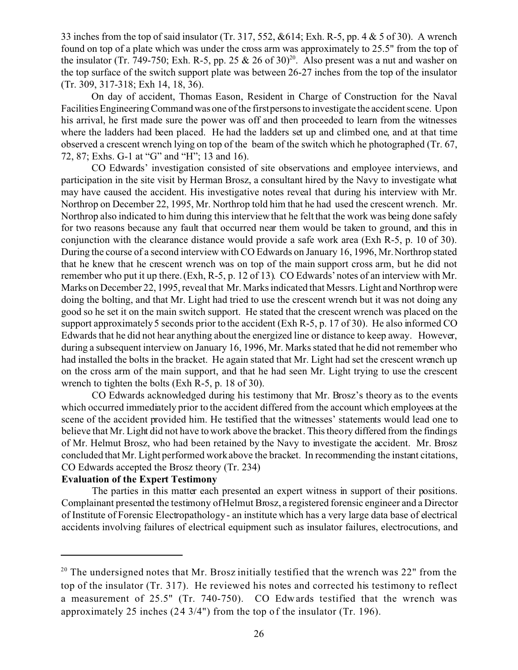33 inches from the top of said insulator (Tr. 317, 552, &614; Exh. R-5, pp. 4 & 5 of 30). A wrench found on top of a plate which was under the cross arm was approximately to 25.5" from the top of the insulator (Tr. 749-750; Exh. R-5, pp. 25 & 26 of 30)<sup>20</sup>. Also present was a nut and washer on the top surface of the switch support plate was between 26-27 inches from the top of the insulator (Tr. 309, 317-318; Exh 14, 18, 36).

On day of accident, Thomas Eason, Resident in Charge of Construction for the Naval Facilities Engineering Command was one of the firstpersons to investigate the accident scene. Upon his arrival, he first made sure the power was off and then proceeded to learn from the witnesses where the ladders had been placed. He had the ladders set up and climbed one, and at that time observed a crescent wrench lying on top of the beam of the switch which he photographed (Tr. 67, 72, 87; Exhs. G-1 at "G" and "H"; 13 and 16).

CO Edwards' investigation consisted of site observations and employee interviews, and participation in the site visit by Herman Brosz, a consultant hired by the Navy to investigate what may have caused the accident. His investigative notes reveal that during his interview with Mr. Northrop on December 22, 1995, Mr. Northrop told him that he had used the crescent wrench. Mr. Northrop also indicated to him during this interview that he felt that the work was being done safely for two reasons because any fault that occurred near them would be taken to ground, and this in conjunction with the clearance distance would provide a safe work area (Exh R-5, p. 10 of 30). During the course of a second interview with CO Edwards on January 16, 1996, Mr. Northrop stated that he knew that he crescent wrench was on top of the main support cross arm, but he did not remember who put it up there. (Exh, R-5, p. 12 of 13). CO Edwards' notes of an interview with Mr. Marks on December 22, 1995, reveal that Mr. Marks indicated that Messrs. Light and Northrop were doing the bolting, and that Mr. Light had tried to use the crescent wrench but it was not doing any good so he set it on the main switch support. He stated that the crescent wrench was placed on the support approximately 5 seconds prior to the accident (Exh R-5, p. 17 of 30). He also informed CO Edwards that he did not hear anything about the energized line or distance to keep away. However, during a subsequent interview on January 16, 1996, Mr. Marks stated that he did not remember who had installed the bolts in the bracket. He again stated that Mr. Light had set the crescent wrench up on the cross arm of the main support, and that he had seen Mr. Light trying to use the crescent wrench to tighten the bolts (Exh R-5, p. 18 of 30).

CO Edwards acknowledged during his testimony that Mr. Brosz's theory as to the events which occurred immediately prior to the accident differed from the account which employees at the scene of the accident provided him. He testified that the witnesses' statements would lead one to believe that Mr. Light did not have to work above the bracket. This theory differed from the findings of Mr. Helmut Brosz, who had been retained by the Navy to investigate the accident. Mr. Brosz concluded that Mr. Light performed work above the bracket. In recommending the instant citations, CO Edwards accepted the Brosz theory (Tr. 234)

## **Evaluation of the Expert Testimony**

The parties in this matter each presented an expert witness in support of their positions. Complainant presented the testimony of Helmut Brosz, a registered forensic engineer and a Director of Institute of Forensic Electropathology - an institute which has a very large data base of electrical accidents involving failures of electrical equipment such as insulator failures, electrocutions, and

 $20$  The undersigned notes that Mr. Brosz initially testified that the wrench was 22" from the top of the insulator (Tr. 317). He reviewed his notes and corrected his testimony to reflect a measurement of 25.5" (Tr. 740-750). CO Edwards testified that the wrench was approximately 25 inches (24 3/4") from the top of the insulator (Tr. 196).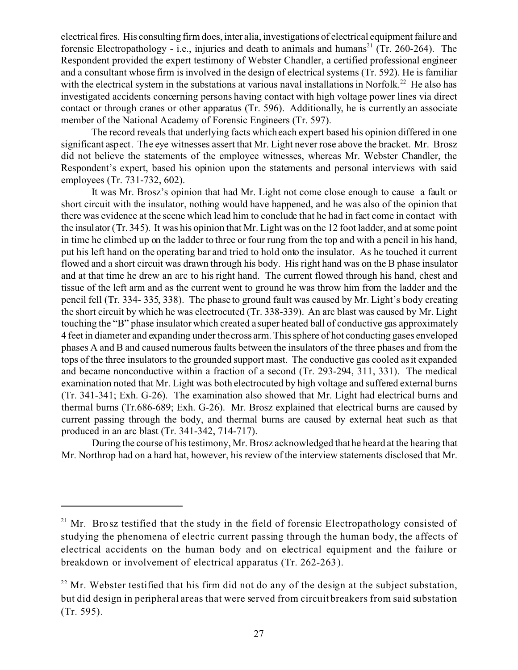electrical fires. His consulting firm does, inter alia, investigations of electrical equipment failure and forensic Electropathology - i.e., injuries and death to animals and humans<sup>21</sup> (Tr. 260-264). The Respondent provided the expert testimony of Webster Chandler, a certified professional engineer and a consultant whose firm is involved in the design of electrical systems (Tr. 592). He is familiar with the electrical system in the substations at various naval installations in Norfolk.<sup>22</sup> He also has investigated accidents concerning persons having contact with high voltage power lines via direct contact or through cranes or other apparatus (Tr. 596). Additionally, he is currently an associate member of the National Academy of Forensic Engineers (Tr. 597).

The record reveals that underlying facts which each expert based his opinion differed in one significant aspect. The eye witnesses assert that Mr. Light never rose above the bracket. Mr. Brosz did not believe the statements of the employee witnesses, whereas Mr. Webster Chandler, the Respondent's expert, based his opinion upon the statements and personal interviews with said employees (Tr. 731-732, 602).

It was Mr. Brosz's opinion that had Mr. Light not come close enough to cause a fault or short circuit with the insulator, nothing would have happened, and he was also of the opinion that there was evidence at the scene which lead him to conclude that he had in fact come in contact with the insulator (Tr. 345). It was his opinion that Mr. Light was on the 12 foot ladder, and at some point in time he climbed up on the ladder to three or four rung from the top and with a pencil in his hand, put his left hand on the operating bar and tried to hold onto the insulator. As he touched it current flowed and a short circuit was drawn through his body. His right hand was on the B phase insulator and at that time he drew an arc to his right hand. The current flowed through his hand, chest and tissue of the left arm and as the current went to ground he was throw him from the ladder and the pencil fell (Tr. 334- 335, 338). The phase to ground fault was caused by Mr. Light's body creating the short circuit by which he was electrocuted (Tr. 338-339). An arc blast was caused by Mr. Light touching the "B" phase insulator which created a super heated ball of conductive gas approximately 4 feet in diameter and expanding under thecross arm. This sphere of hot conducting gases enveloped phases A and B and caused numerous faults between the insulators of the three phases and from the tops of the three insulators to the grounded support mast. The conductive gas cooled as it expanded and became nonconductive within a fraction of a second (Tr. 293-294, 311, 331). The medical examination noted that Mr. Light was both electrocuted by high voltage and suffered external burns (Tr. 341-341; Exh. G-26). The examination also showed that Mr. Light had electrical burns and thermal burns (Tr.686-689; Exh. G-26). Mr. Brosz explained that electrical burns are caused by current passing through the body, and thermal burns are caused by external heat such as that produced in an arc blast (Tr. 341-342, 714-717).

During the course of his testimony, Mr. Brosz acknowledged that he heard at the hearing that Mr. Northrop had on a hard hat, however, his review of the interview statements disclosed that Mr.

<sup>&</sup>lt;sup>21</sup> Mr. Brosz testified that the study in the field of forensic Electropathology consisted of studying the phenomena of electric current passing through the human body, the affects of electrical accidents on the human body and on electrical equipment and the failure or breakdown or involvement of electrical apparatus (Tr. 262-263).

 $22$  Mr. Webster testified that his firm did not do any of the design at the subject substation, but did design in peripheral areas that were served from circuit breakers from said substation (Tr. 595).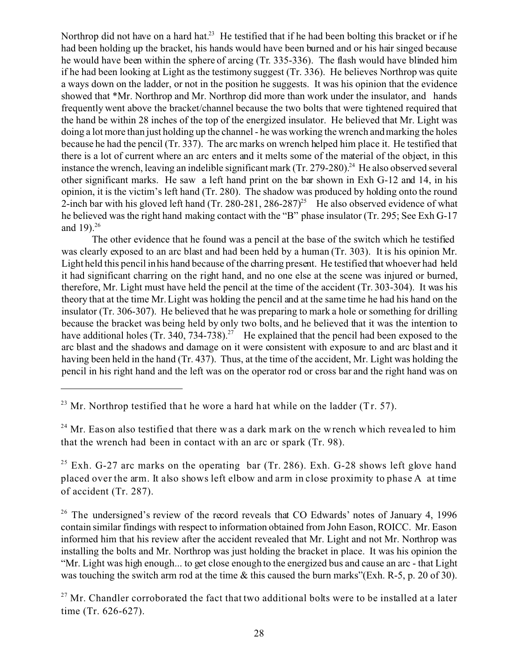Northrop did not have on a hard hat.<sup>23</sup> He testified that if he had been bolting this bracket or if he had been holding up the bracket, his hands would have been burned and or his hair singed because he would have been within the sphere of arcing (Tr. 335-336). The flash would have blinded him if he had been looking at Light as the testimony suggest (Tr. 336). He believes Northrop was quite a ways down on the ladder, or not in the position he suggests. It was his opinion that the evidence showed that \*Mr. Northrop and Mr. Northrop did more than work under the insulator, and hands frequently went above the bracket/channel because the two bolts that were tightened required that the hand be within 28 inches of the top of the energized insulator. He believed that Mr. Light was doing a lot more than just holding up the channel - he was working the wrench and marking the holes because he had the pencil (Tr. 337). The arc marks on wrench helped him place it. He testified that there is a lot of current where an arc enters and it melts some of the material of the object, in this instance the wrench, leaving an indelible significant mark  $(Tr, 279-280)^{24}$  He also observed several other significant marks. He saw a left hand print on the bar shown in Exh G-12 and 14, in his opinion, it is the victim's left hand (Tr. 280). The shadow was produced by holding onto the round 2-inch bar with his gloved left hand (Tr. 280-281, 286-287)<sup>25</sup> He also observed evidence of what he believed was the right hand making contact with the "B" phase insulator (Tr. 295; See Exh G-17 and 19 $1^{26}$ 

The other evidence that he found was a pencil at the base of the switch which he testified was clearly exposed to an arc blast and had been held by a human (Tr. 303). It is his opinion Mr. Light held this pencil in his hand because of the charring present. He testified that whoever had held it had significant charring on the right hand, and no one else at the scene was injured or burned, therefore, Mr. Light must have held the pencil at the time of the accident (Tr. 303-304). It was his theory that at the time Mr. Light was holding the pencil and at the same time he had his hand on the insulator (Tr. 306-307). He believed that he was preparing to mark a hole or something for drilling because the bracket was being held by only two bolts, and he believed that it was the intention to have additional holes (Tr. 340, 734-738).<sup>27</sup> He explained that the pencil had been exposed to the arc blast and the shadows and damage on it were consistent with exposure to and arc blast and it having been held in the hand (Tr. 437). Thus, at the time of the accident, Mr. Light was holding the pencil in his right hand and the left was on the operator rod or cross bar and the right hand was on

<sup>&</sup>lt;sup>23</sup> Mr. Northrop testified that he wore a hard hat while on the ladder (Tr. 57).

<sup>&</sup>lt;sup>24</sup> Mr. Eason also testified that there was a dark mark on the wrench which revealed to him that the wrench had been in contact with an arc or spark (Tr. 98).

<sup>&</sup>lt;sup>25</sup> Exh. G-27 arc marks on the operating bar (Tr. 286). Exh. G-28 shows left glove hand placed over the arm. It also shows left elbow and arm in close proximity to phase A at time of accident (Tr. 287).

 $26$  The undersigned's review of the record reveals that CO Edwards' notes of January 4, 1996 contain similar findings with respect to information obtained from John Eason, ROICC. Mr. Eason informed him that his review after the accident revealed that Mr. Light and not Mr. Northrop was installing the bolts and Mr. Northrop was just holding the bracket in place. It was his opinion the "Mr. Light was high enough... to get close enough to the energized bus and cause an arc - that Light was touching the switch arm rod at the time & this caused the burn marks"(Exh. R-5, p. 20 of 30).

 $27$  Mr. Chandler corroborated the fact that two additional bolts were to be installed at a later time (Tr. 626-627).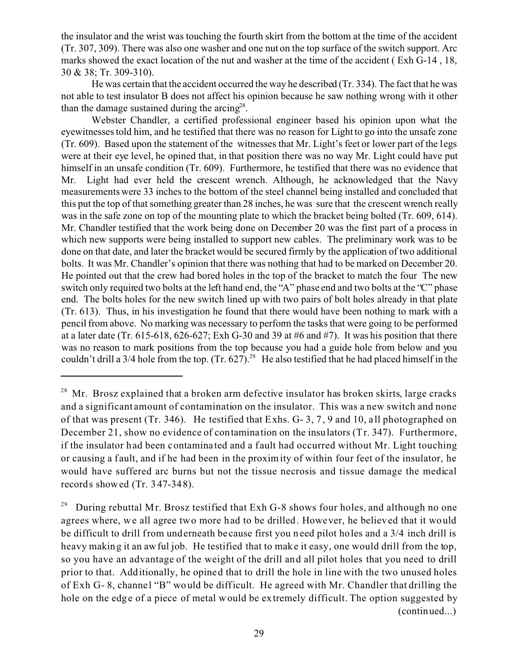the insulator and the wrist was touching the fourth skirt from the bottom at the time of the accident (Tr. 307, 309). There was also one washer and one nut on the top surface of the switch support. Arc marks showed the exact location of the nut and washer at the time of the accident ( Exh G-14 , 18, 30 & 38; Tr. 309-310).

He was certain that the accident occurred the way he described (Tr. 334). The fact that he was not able to test insulator B does not affect his opinion because he saw nothing wrong with it other than the damage sustained during the  $\arcsin 2^{28}$ .

Webster Chandler, a certified professional engineer based his opinion upon what the eyewitnesses told him, and he testified that there was no reason for Light to go into the unsafe zone (Tr. 609). Based upon the statement of the witnesses that Mr. Light's feet or lower part of the legs were at their eye level, he opined that, in that position there was no way Mr. Light could have put himself in an unsafe condition (Tr. 609). Furthermore, he testified that there was no evidence that Mr. Light had ever held the crescent wrench. Although, he acknowledged that the Navy measurements were 33 inches to the bottom of the steel channel being installed and concluded that this put the top of that something greater than 28 inches, he was sure that the crescent wrench really was in the safe zone on top of the mounting plate to which the bracket being bolted (Tr. 609, 614). Mr. Chandler testified that the work being done on December 20 was the first part of a process in which new supports were being installed to support new cables. The preliminary work was to be done on that date, and later the bracket would be secured firmly by the application of two additional bolts. It was Mr. Chandler's opinion that there was nothing that had to be marked on December 20. He pointed out that the crew had bored holes in the top of the bracket to match the four The new switch only required two bolts at the left hand end, the "A" phase end and two bolts at the "C" phase end. The bolts holes for the new switch lined up with two pairs of bolt holes already in that plate (Tr. 613). Thus, in his investigation he found that there would have been nothing to mark with a pencil from above. No marking was necessary to perform the tasks that were going to be performed at a later date (Tr. 615-618, 626-627; Exh G-30 and 39 at #6 and #7). It was his position that there was no reason to mark positions from the top because you had a guide hole from below and you couldn't drill a  $3/4$  hole from the top. (Tr. 627).<sup>29</sup> He also testified that he had placed himself in the

<sup>&</sup>lt;sup>28</sup> Mr. Brosz explained that a broken arm defective insulator has broken skirts, large cracks and a significant amount of contamination on the insulator. This was a new switch and none of that was present (Tr. 346). He testified that Exhs. G- 3, 7, 9 and 10, a ll photographed on December 21, show no evidence of contamination on the insulators (Tr. 347). Furthermore, if the insulator had been contaminated and a fault had occurred without Mr. Light touching or causing a f ault, and if he had been in the proximity of within four feet of the insulator, he would have suffered arc burns but not the tissue necrosis and tissue damage the medical records showed (Tr. 347-348).

<sup>&</sup>lt;sup>29</sup> During rebuttal Mr. Brosz testified that Exh G-8 shows four holes, and although no one agrees where, we all agree two more had to be drilled. However, he believed that it would be difficult to drill from underneath be cause first you need pilot holes and a 3/4 inch drill is heavy making it an awful job. He testified that to make it easy, one would drill from the top, so you have an advantage of the weight of the drill and all pilot holes that you need to drill prior to that. Additionally, he opined that to drill the hole in line with the two unused holes of Exh G-8, channel "B" would be difficult. He agreed with Mr. Chandler that drilling the hole on the edge of a piece of metal would be extremely difficult. The option suggested by (continued...)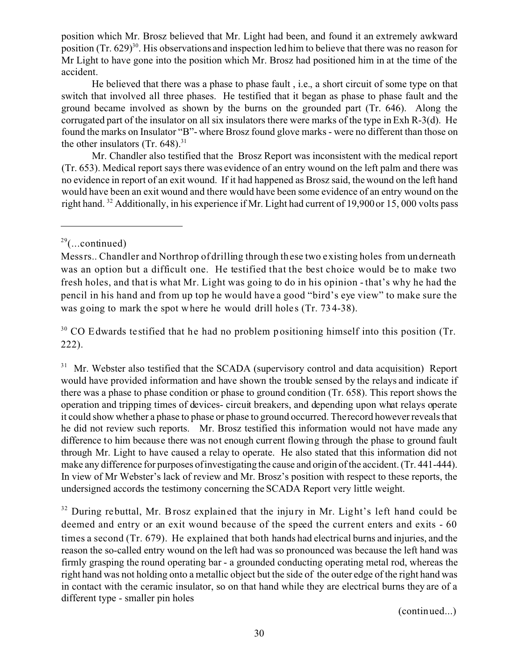position which Mr. Brosz believed that Mr. Light had been, and found it an extremely awkward position  $(Tr, 629)^{30}$ . His observations and inspection led him to believe that there was no reason for Mr Light to have gone into the position which Mr. Brosz had positioned him in at the time of the accident.

He believed that there was a phase to phase fault , i.e., a short circuit of some type on that switch that involved all three phases. He testified that it began as phase to phase fault and the ground became involved as shown by the burns on the grounded part (Tr. 646). Along the corrugated part of the insulator on all six insulators there were marks of the type in Exh R-3(d). He found the marks on Insulator "B"- where Brosz found glove marks - were no different than those on the other insulators (Tr.  $648$ ).<sup>31</sup>

Mr. Chandler also testified that the Brosz Report was inconsistent with the medical report (Tr. 653). Medical report says there was evidence of an entry wound on the left palm and there was no evidence in report of an exit wound. If it had happened as Brosz said, the wound on the left hand would have been an exit wound and there would have been some evidence of an entry wound on the right hand. 32 Additionally, in his experience if Mr. Light had current of 19,900 or 15, 000 volts pass

 $30$  CO Edwards testified that he had no problem positioning himself into this position (Tr. 222).

<sup>31</sup> Mr. Webster also testified that the SCADA (supervisory control and data acquisition) Report would have provided information and have shown the trouble sensed by the relays and indicate if there was a phase to phase condition or phase to ground condition (Tr. 658). This report shows the operation and tripping times of devices- circuit breakers, and depending upon what relays operate it could show whether a phase to phase or phase to ground occurred. Therecord however reveals that he did not review such reports. Mr. Brosz testified this information would not have made any difference to him because there was not enough current flowing through the phase to ground fault through Mr. Light to have caused a relay to operate. He also stated that this information did not make any difference for purposes of investigating the cause and origin of the accident. (Tr. 441-444). In view of Mr Webster's lack of review and Mr. Brosz's position with respect to these reports, the undersigned accords the testimony concerning the SCADA Report very little weight.

 $32$  During rebuttal, Mr. Brosz explained that the injury in Mr. Light's left hand could be deemed and entry or an exit wound because of the speed the current enters and exits - 60 times a second (Tr. 679). He explained that both hands had electrical burns and injuries, and the reason the so-called entry wound on the left had was so pronounced was because the left hand was firmly grasping the round operating bar - a grounded conducting operating metal rod, whereas the right hand was not holding onto a metallic object but the side of the outer edge of the right hand was in contact with the ceramic insulator, so on that hand while they are electrical burns they are of a different type - smaller pin holes

(continued...)

 $29$ (...continued)

Messrs.. Chandler and Northrop of drilling through these two existing holes from underneath was an option but a difficult one. He testified that the best choice would be to make two fresh holes, and that is what Mr. Light was going to do in his opinion -that's why he had the pencil in his hand and from up top he would have a good "bird's eye view" to make sure the was going to mark the spot where he would drill holes (Tr. 734-38).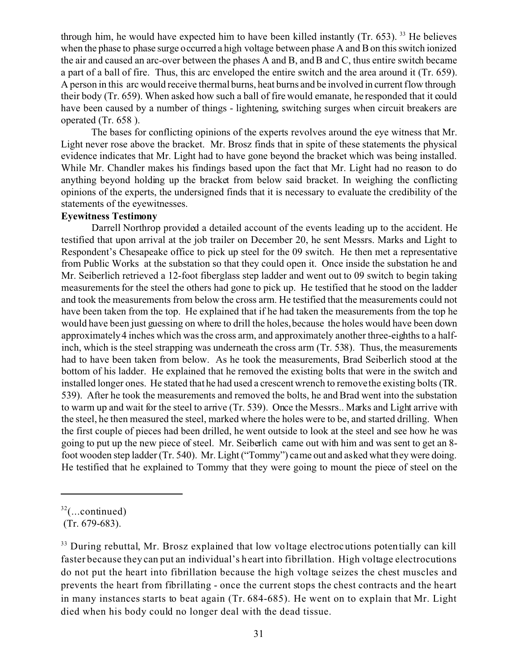through him, he would have expected him to have been killed instantly  $(Tr, 653)$ . <sup>33</sup> He believes when the phase to phase surge occurred a high voltage between phase A and B on this switch ionized the air and caused an arc-over between the phases A and B, and B and C, thus entire switch became a part of a ball of fire. Thus, this arc enveloped the entire switch and the area around it (Tr. 659). A person in this arc would receive thermal burns, heat burns and be involved in current flow through their body (Tr. 659). When asked how such a ball of fire would emanate, he responded that it could have been caused by a number of things - lightening, switching surges when circuit breakers are operated (Tr. 658 ).

The bases for conflicting opinions of the experts revolves around the eye witness that Mr. Light never rose above the bracket. Mr. Brosz finds that in spite of these statements the physical evidence indicates that Mr. Light had to have gone beyond the bracket which was being installed. While Mr. Chandler makes his findings based upon the fact that Mr. Light had no reason to do anything beyond holding up the bracket from below said bracket. In weighing the conflicting opinions of the experts, the undersigned finds that it is necessary to evaluate the credibility of the statements of the eyewitnesses.

## **Eyewitness Testimony**

Darrell Northrop provided a detailed account of the events leading up to the accident. He testified that upon arrival at the job trailer on December 20, he sent Messrs. Marks and Light to Respondent's Chesapeake office to pick up steel for the 09 switch. He then met a representative from Public Works at the substation so that they could open it. Once inside the substation he and Mr. Seiberlich retrieved a 12-foot fiberglass step ladder and went out to 09 switch to begin taking measurements for the steel the others had gone to pick up. He testified that he stood on the ladder and took the measurements from below the cross arm. He testified that the measurements could not have been taken from the top. He explained that if he had taken the measurements from the top he would have been just guessing on where to drill the holes, because the holes would have been down approximately 4 inches which was the cross arm, and approximately another three-eighths to a halfinch, which is the steel strapping was underneath the cross arm (Tr. 538). Thus, the measurements had to have been taken from below. As he took the measurements, Brad Seiberlich stood at the bottom of his ladder. He explained that he removed the existing bolts that were in the switch and installed longer ones. He stated that he had used a crescent wrench to remove the existing bolts (TR. 539). After he took the measurements and removed the bolts, he and Brad went into the substation to warm up and wait for the steel to arrive (Tr. 539). Once the Messrs.. Marks and Light arrive with the steel, he then measured the steel, marked where the holes were to be, and started drilling. When the first couple of pieces had been drilled, he went outside to look at the steel and see how he was going to put up the new piece of steel. Mr. Seiberlich came out with him and was sent to get an 8 foot wooden step ladder (Tr. 540). Mr. Light ("Tommy") came out and asked what they were doing. He testified that he explained to Tommy that they were going to mount the piece of steel on the

 $32$ (...continued)

<sup>(</sup>Tr. 679-683).

 $33$  During rebuttal, Mr. Brosz explained that low voltage electrocutions potentially can kill faster because they can put an individual's heart into fibrillation. High voltage electrocutions do not put the heart into fibrillation because the high voltage seizes the chest muscles and prevents the heart from fibrillating - once the current stops the chest contracts and the he art in many instances starts to beat again (Tr. 684-685). He went on to explain that Mr. Light died when his body could no longer deal with the dead tissue.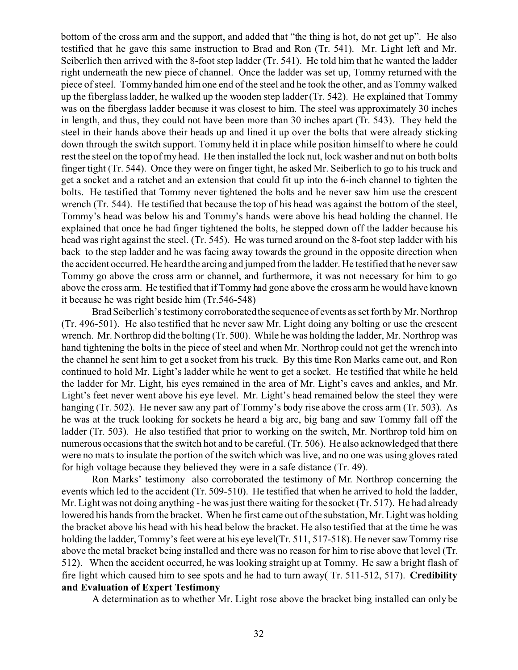bottom of the cross arm and the support, and added that "the thing is hot, do not get up". He also testified that he gave this same instruction to Brad and Ron (Tr. 541). Mr. Light left and Mr. Seiberlich then arrived with the 8-foot step ladder (Tr. 541). He told him that he wanted the ladder right underneath the new piece of channel. Once the ladder was set up, Tommy returned with the piece of steel. Tommy handed him one end of the steel and he took the other, and as Tommy walked up the fiberglass ladder, he walked up the wooden step ladder (Tr. 542). He explained that Tommy was on the fiberglass ladder because it was closest to him. The steel was approximately 30 inches in length, and thus, they could not have been more than 30 inches apart (Tr. 543). They held the steel in their hands above their heads up and lined it up over the bolts that were already sticking down through the switch support. Tommy held it in place while position himself to where he could rest the steel on the top of my head. He then installed the lock nut, lock washer and nut on both bolts finger tight (Tr. 544). Once they were on finger tight, he asked Mr. Seiberlich to go to his truck and get a socket and a ratchet and an extension that could fit up into the 6-inch channel to tighten the bolts. He testified that Tommy never tightened the bolts and he never saw him use the crescent wrench (Tr. 544). He testified that because the top of his head was against the bottom of the steel, Tommy's head was below his and Tommy's hands were above his head holding the channel. He explained that once he had finger tightened the bolts, he stepped down off the ladder because his head was right against the steel. (Tr. 545). He was turned around on the 8-foot step ladder with his back to the step ladder and he was facing away towards the ground in the opposite direction when the accident occurred. He heard the arcing and jumped from the ladder. He testified that he never saw Tommy go above the cross arm or channel, and furthermore, it was not necessary for him to go above the cross arm. He testified that if Tommy had gone above the cross arm he would have known it because he was right beside him (Tr.546-548)

Brad Seiberlich's testimony corroborated the sequence of events as set forth by Mr. Northrop (Tr. 496-501). He also testified that he never saw Mr. Light doing any bolting or use the crescent wrench. Mr. Northrop did the bolting (Tr. 500). While he was holding the ladder, Mr. Northrop was hand tightening the bolts in the piece of steel and when Mr. Northrop could not get the wrench into the channel he sent him to get a socket from his truck. By this time Ron Marks came out, and Ron continued to hold Mr. Light's ladder while he went to get a socket. He testified that while he held the ladder for Mr. Light, his eyes remained in the area of Mr. Light's caves and ankles, and Mr. Light's feet never went above his eye level. Mr. Light's head remained below the steel they were hanging (Tr. 502). He never saw any part of Tommy's body rise above the cross arm (Tr. 503). As he was at the truck looking for sockets he heard a big arc, big bang and saw Tommy fall off the ladder (Tr. 503). He also testified that prior to working on the switch, Mr. Northrop told him on numerous occasions that the switch hot and to be careful. (Tr. 506). He also acknowledged that there were no mats to insulate the portion of the switch which was live, and no one was using gloves rated for high voltage because they believed they were in a safe distance (Tr. 49).

Ron Marks' testimony also corroborated the testimony of Mr. Northrop concerning the events which led to the accident (Tr. 509-510). He testified that when he arrived to hold the ladder, Mr. Light was not doing anything - he was just there waiting for the socket (Tr. 517). He had already lowered his hands from the bracket. When he first came out of the substation, Mr. Light was holding the bracket above his head with his head below the bracket. He also testified that at the time he was holding the ladder, Tommy's feet were at his eye level(Tr. 511, 517-518). He never saw Tommy rise above the metal bracket being installed and there was no reason for him to rise above that level (Tr. 512). When the accident occurred, he was looking straight up at Tommy. He saw a bright flash of fire light which caused him to see spots and he had to turn away( Tr. 511-512, 517). **Credibility and Evaluation of Expert Testimony** 

A determination as to whether Mr. Light rose above the bracket bing installed can only be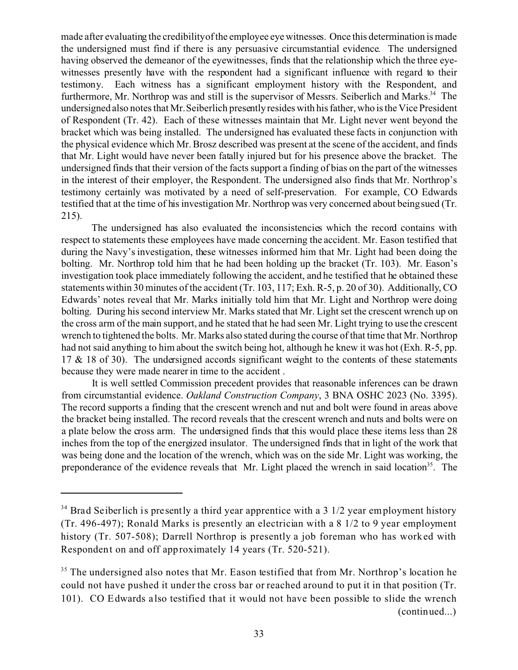made after evaluating the credibilityof the employee eye witnesses. Once this determination is made the undersigned must find if there is any persuasive circumstantial evidence. The undersigned having observed the demeanor of the eyewitnesses, finds that the relationship which the three eyewitnesses presently have with the respondent had a significant influence with regard to their testimony. Each witness has a significant employment history with the Respondent, and furthermore, Mr. Northrop was and still is the supervisor of Messrs. Seiberlich and Marks.<sup>34</sup> The undersigned also notes that Mr.Seiberlich presently resides with his father, who is the Vice President of Respondent (Tr. 42). Each of these witnesses maintain that Mr. Light never went beyond the bracket which was being installed. The undersigned has evaluated these facts in conjunction with the physical evidence which Mr. Brosz described was present at the scene of the accident, and finds that Mr. Light would have never been fatally injured but for his presence above the bracket. The undersigned finds that their version of the facts support a finding of bias on the part of the witnesses in the interest of their employer, the Respondent. The undersigned also finds that Mr. Northrop's testimony certainly was motivated by a need of self-preservation. For example, CO Edwards testified that at the time of his investigation Mr. Northrop was very concerned about being sued (Tr. 215).

The undersigned has also evaluated the inconsistencies which the record contains with respect to statements these employees have made concerning the accident. Mr. Eason testified that during the Navy's investigation, these witnesses informed him that Mr. Light had been doing the bolting. Mr. Northrop told him that he had been holding up the bracket (Tr. 103). Mr. Eason's investigation took place immediately following the accident, and he testified that he obtained these statements within 30 minutes of the accident (Tr. 103, 117; Exh. R-5, p. 20 of 30). Additionally, CO Edwards' notes reveal that Mr. Marks initially told him that Mr. Light and Northrop were doing bolting. During his second interview Mr. Marks stated that Mr. Light set the crescent wrench up on the cross arm of the main support, and he stated that he had seen Mr. Light trying to use the crescent wrench to tightened the bolts. Mr. Marks also stated during the course of that time that Mr. Northrop had not said anything to him about the switch being hot, although he knew it was hot (Exh. R-5, pp. 17 & 18 of 30). The undersigned accords significant weight to the contents of these statements because they were made nearer in time to the accident .

It is well settled Commission precedent provides that reasonable inferences can be drawn from circumstantial evidence. *Oakland Construction Company*, 3 BNA OSHC 2023 (No. 3395). The record supports a finding that the crescent wrench and nut and bolt were found in areas above the bracket being installed. The record reveals that the crescent wrench and nuts and bolts were on a plate below the cross arm. The undersigned finds that this would place these items less than 28 inches from the top of the energized insulator. The undersigned finds that in light of the work that was being done and the location of the wrench, which was on the side Mr. Light was working, the preponderance of the evidence reveals that Mr. Light placed the wrench in said location<sup>35</sup>. The

 $34$  Brad Seiberlich is presently a third year apprentice with a 3 1/2 year employment history (Tr. 496-497); Ronald Marks is presently an electrician with a 8 1/2 to 9 year employment history (Tr. 507-508); Darrell Northrop is presently a job foreman who has worked with Respondent on and off approximately 14 years (Tr. 520-521).

 $35$  The undersigned also notes that Mr. Eason testified that from Mr. Northrop's location he could not have pushed it under the cross bar or reached around to put it in that position (Tr. 101). CO Edwards a lso testified that it would not have been possible to slide the wrench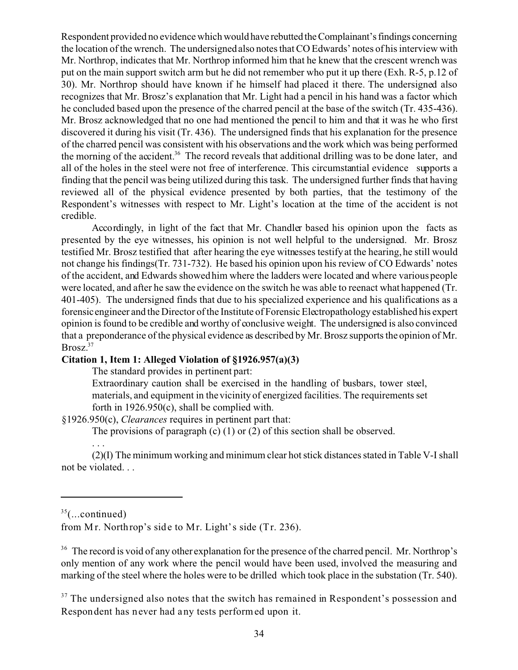Respondent provided no evidence which would have rebutted the Complainant's findings concerning the location of the wrench. The undersigned also notes that CO Edwards' notes of his interview with Mr. Northrop, indicates that Mr. Northrop informed him that he knew that the crescent wrench was put on the main support switch arm but he did not remember who put it up there (Exh. R-5, p.12 of 30). Mr. Northrop should have known if he himself had placed it there. The undersigned also recognizes that Mr. Brosz's explanation that Mr. Light had a pencil in his hand was a factor which he concluded based upon the presence of the charred pencil at the base of the switch (Tr. 435-436). Mr. Brosz acknowledged that no one had mentioned the pencil to him and that it was he who first discovered it during his visit (Tr. 436). The undersigned finds that his explanation for the presence of the charred pencil was consistent with his observations and the work which was being performed the morning of the accident.<sup>36</sup> The record reveals that additional drilling was to be done later, and all of the holes in the steel were not free of interference. This circumstantial evidence supports a finding that the pencil was being utilized during this task. The undersigned further finds that having reviewed all of the physical evidence presented by both parties, that the testimony of the Respondent's witnesses with respect to Mr. Light's location at the time of the accident is not credible.

Accordingly, in light of the fact that Mr. Chandler based his opinion upon the facts as presented by the eye witnesses, his opinion is not well helpful to the undersigned. Mr. Brosz testified Mr. Brosz testified that after hearing the eye witnesses testify at the hearing, he still would not change his findings(Tr. 731-732). He based his opinion upon his review of CO Edwards' notes of the accident, and Edwards showed him where the ladders were located and where various people were located, and after he saw the evidence on the switch he was able to reenact what happened (Tr. 401-405). The undersigned finds that due to his specialized experience and his qualifications as a forensic engineer and the Director of the Institute of Forensic Electropathology established his expert opinion is found to be credible and worthy of conclusive weight. The undersigned is also convinced that a preponderance of the physical evidence as described by Mr. Brosz supports the opinion of Mr. Brosz.<sup>37</sup>

# **Citation 1, Item 1: Alleged Violation of §1926.957(a)(3)**

The standard provides in pertinent part:

Extraordinary caution shall be exercised in the handling of busbars, tower steel, materials, and equipment in the vicinity of energized facilities. The requirements set forth in 1926.950(c), shall be complied with.

§1926.950(c), *Clearances* requires in pertinent part that:

The provisions of paragraph (c) (1) or (2) of this section shall be observed.

(2)(I) The minimum working and minimum clear hot stick distances stated in Table V-I shall not be violated. . .

. . .

<sup>36</sup> The record is void of any other explanation for the presence of the charred pencil. Mr. Northrop's only mention of any work where the pencil would have been used, involved the measuring and marking of the steel where the holes were to be drilled which took place in the substation (Tr. 540).

 $37$  The undersigned also notes that the switch has remained in Respondent's possession and Respondent has never had any tests performed upon it.

 $35$ (...continued)

from Mr. Northrop's side to Mr. Light's side (Tr. 236).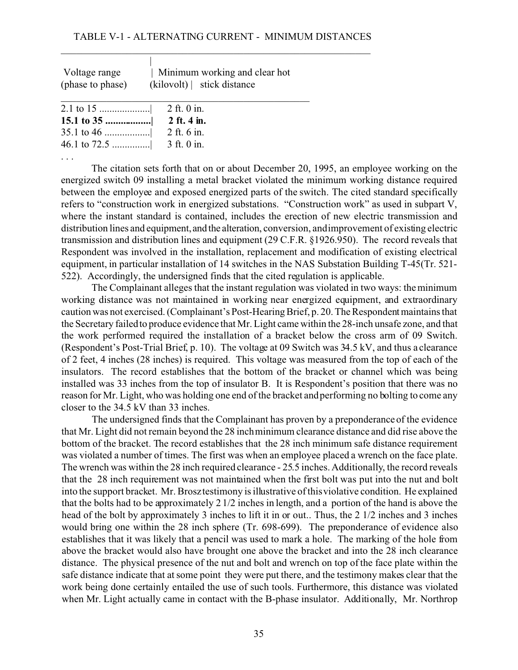### TABLE V-1 - ALTERNATING CURRENT - MINIMUM DISTANCES

\_\_\_\_\_\_\_\_\_\_\_\_\_\_\_\_\_\_\_\_\_\_\_\_\_\_\_\_\_\_\_\_\_\_\_\_\_\_\_\_\_\_\_\_\_\_\_\_\_\_\_\_\_\_\_\_\_\_\_\_\_

| Voltage range    | Minimum working and clear hot |
|------------------|-------------------------------|
| (phase to phase) | (kilovolt) stick distance     |
|                  |                               |

. . .

The citation sets forth that on or about December 20, 1995, an employee working on the energized switch 09 installing a metal bracket violated the minimum working distance required between the employee and exposed energized parts of the switch. The cited standard specifically refers to "construction work in energized substations. "Construction work" as used in subpart V, where the instant standard is contained, includes the erection of new electric transmission and distribution lines and equipment, and the alteration, conversion, andimprovement of existing electric transmission and distribution lines and equipment (29 C.F.R. §1926.950). The record reveals that Respondent was involved in the installation, replacement and modification of existing electrical equipment, in particular installation of 14 switches in the NAS Substation Building T-45(Tr. 521- 522). Accordingly, the undersigned finds that the cited regulation is applicable.

The Complainant alleges that the instant regulation was violated in two ways: the minimum working distance was not maintained in working near energized equipment, and extraordinary caution was not exercised. (Complainant's Post-Hearing Brief, p. 20. The Respondentmaintains that the Secretary failed to produce evidence that Mr. Light came within the 28-inch unsafe zone, and that the work performed required the installation of a bracket below the cross arm of 09 Switch. (Respondent's Post-Trial Brief, p. 10). The voltage at 09 Switch was 34.5 kV, and thus a clearance of 2 feet, 4 inches (28 inches) is required. This voltage was measured from the top of each of the insulators. The record establishes that the bottom of the bracket or channel which was being installed was 33 inches from the top of insulator B. It is Respondent's position that there was no reason for Mr. Light, who was holding one end of the bracket and performing no bolting to come any closer to the 34.5 kV than 33 inches.

The undersigned finds that the Complainant has proven by a preponderance of the evidence that Mr. Light did not remain beyond the 28 inch minimum clearance distance and did rise above the bottom of the bracket. The record establishes that the 28 inch minimum safe distance requirement was violated a number of times. The first was when an employee placed a wrench on the face plate. The wrench was within the 28 inch required clearance - 25.5 inches. Additionally, the record reveals that the 28 inch requirement was not maintained when the first bolt was put into the nut and bolt into the support bracket. Mr. Brosz testimony is illustrative of thisviolative condition. He explained that the bolts had to be approximately 2 1/2 inches in length, and a portion of the hand is above the head of the bolt by approximately 3 inches to lift it in or out.. Thus, the 2 1/2 inches and 3 inches would bring one within the 28 inch sphere (Tr. 698-699). The preponderance of evidence also establishes that it was likely that a pencil was used to mark a hole. The marking of the hole from above the bracket would also have brought one above the bracket and into the 28 inch clearance distance. The physical presence of the nut and bolt and wrench on top of the face plate within the safe distance indicate that at some point they were put there, and the testimony makes clear that the work being done certainly entailed the use of such tools. Furthermore, this distance was violated when Mr. Light actually came in contact with the B-phase insulator. Additionally, Mr. Northrop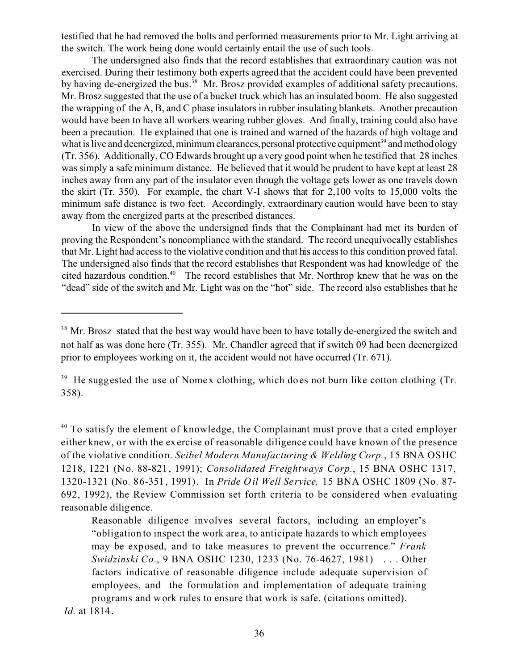testified that he had removed the bolts and performed measurements prior to Mr. Light arriving at the switch. The work being done would certainly entail the use of such tools.

The undersigned also finds that the record establishes that extraordinary caution was not exercised. During their testimony both experts agreed that the accident could have been prevented by having de-energized the bus.<sup>38</sup> Mr. Brosz provided examples of additional safety precautions. Mr. Brosz suggested that the use of a bucket truck which has an insulated boom. He also suggested the wrapping of the A, B, and C phase insulators in rubber insulating blankets. Another precaution would have been to have all workers wearing rubber gloves. And finally, training could also have been a precaution. He explained that one is trained and warned of the hazards of high voltage and what is live and deenergized, minimum clearances, personal protective equipment<sup>39</sup> and methodology (Tr. 356). Additionally, CO Edwards brought up a very good point when he testified that 28 inches was simply a safe minimum distance. He believed that it would be prudent to have kept at least 28 inches away from any part of the insulator even though the voltage gets lower as one travels down the skirt (Tr. 350). For example, the chart V-I shows that for 2,100 volts to 15,000 volts the minimum safe distance is two feet. Accordingly, extraordinary caution would have been to stay away from the energized parts at the prescribed distances.

In view of the above the undersigned finds that the Complainant had met its burden of proving the Respondent's noncompliance with the standard. The record unequivocally establishes that Mr. Light had access to the violative condition and that his access to this condition proved fatal. The undersigned also finds that the record establishes that Respondent was had knowledge of the cited hazardous condition.<sup>40</sup> The record establishes that Mr. Northrop knew that he was on the "dead" side of the switch and Mr. Light was on the "hot" side. The record also establishes that he

<sup>&</sup>lt;sup>38</sup> Mr. Brosz stated that the best way would have been to have totally de-energized the switch and not half as was done here (Tr. 355). Mr. Chandler agreed that if switch 09 had been deenergized prior to employees working on it, the accident would not have occurred (Tr. 671).

<sup>&</sup>lt;sup>39</sup> He suggested the use of Nomex clothing, which does not burn like cotton clothing (Tr. 358).

<sup>&</sup>lt;sup>40</sup> To satisfy the element of knowledge, the Complainant must prove that a cited employer either knew, or with the exercise of rea sonable diligence could have known of the presence of the violative condition. *Seibel Modern Manufacturing & Welding Corp.*, 15 BNA OSHC 1218, 1221 (No. 88-821, 1991); *Consolidated Freightways Corp.*, 15 BNA OSHC 1317, 1320-1321 (No. 86-351, 1991). In *Pride Oil Well Se rvice,* 15 BNA OSHC 1809 (No. 87- 692, 1992), the Review Commission set forth criteria to be considered when evaluating reasonable diligence.

Reasonable diligence involves several factors, including an employer's "obligation to inspect the work are a, to anticipate hazards to which employees may be exposed, and to take measures to prevent the occurrence." *Frank Swidzinski Co*., 9 BNA OSHC 1230, 1233 (No. 76-4627, 1981) . . . Other factors indicative of reasonable diligence include adequate supervision of employees, and the formulation and implementation of adequate training programs and work rules to ensure that work is safe. (citations omitted).

*Id.* at 1814.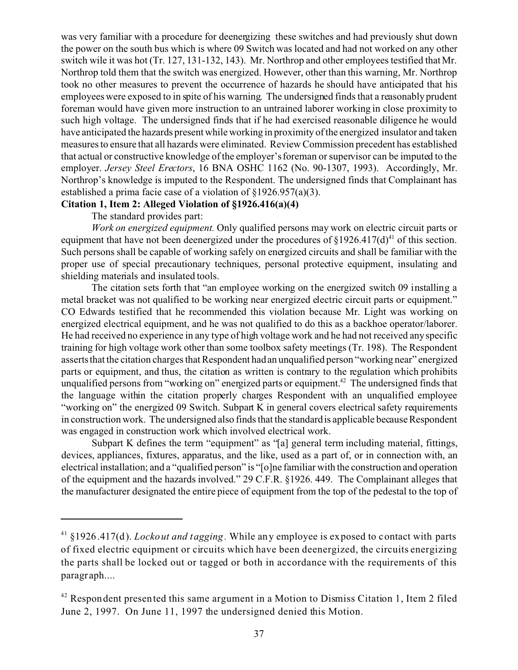was very familiar with a procedure for deenergizing these switches and had previously shut down the power on the south bus which is where 09 Switch was located and had not worked on any other switch wile it was hot (Tr. 127, 131-132, 143). Mr. Northrop and other employees testified that Mr. Northrop told them that the switch was energized. However, other than this warning, Mr. Northrop took no other measures to prevent the occurrence of hazards he should have anticipated that his employees were exposed to in spite of his warning. The undersigned finds that a reasonably prudent foreman would have given more instruction to an untrained laborer working in close proximity to such high voltage. The undersigned finds that if he had exercised reasonable diligence he would have anticipated the hazards present while working in proximity of the energized insulator and taken measures to ensure that all hazards were eliminated. Review Commission precedent has established that actual or constructive knowledge of the employer's foreman or supervisor can be imputed to the employer. *Jersey Steel Erectors*, 16 BNA OSHC 1162 (No. 90-1307, 1993). Accordingly, Mr. Northrop's knowledge is imputed to the Respondent. The undersigned finds that Complainant has established a prima facie case of a violation of §1926.957(a)(3).

### **Citation 1, Item 2: Alleged Violation of §1926.416(a)(4)**

The standard provides part:

*Work on energized equipment.* Only qualified persons may work on electric circuit parts or equipment that have not been deenergized under the procedures of  $\S 1926.417(d)^{41}$  of this section. Such persons shall be capable of working safely on energized circuits and shall be familiar with the proper use of special precautionary techniques, personal protective equipment, insulating and shielding materials and insulated tools.

The citation sets forth that "an employee working on the energized switch 09 installing a metal bracket was not qualified to be working near energized electric circuit parts or equipment." CO Edwards testified that he recommended this violation because Mr. Light was working on energized electrical equipment, and he was not qualified to do this as a backhoe operator/laborer. He had received no experience in any type of high voltage work and he had not received any specific training for high voltage work other than some toolbox safety meetings (Tr. 198). The Respondent asserts that the citation charges that Respondent had an unqualified person "working near" energized parts or equipment, and thus, the citation as written is contrary to the regulation which prohibits unqualified persons from "working on" energized parts or equipment.<sup>42</sup> The undersigned finds that the language within the citation properly charges Respondent with an unqualified employee "working on" the energized 09 Switch. Subpart K in general covers electrical safety requirements in construction work. The undersigned also finds that the standard is applicable because Respondent was engaged in construction work which involved electrical work.

Subpart K defines the term "equipment" as "[a] general term including material, fittings, devices, appliances, fixtures, apparatus, and the like, used as a part of, or in connection with, an electrical installation; and a "qualified person" is "[o]ne familiar with the construction and operation of the equipment and the hazards involved." 29 C.F.R. §1926. 449. The Complainant alleges that the manufacturer designated the entire piece of equipment from the top of the pedestal to the top of

<sup>41 §1926.417(</sup>d). *Lockout and tagging.* While any employee is exposed to contact with parts of fixed electric equipment or circuits which have been deenergized, the circuits energizing the parts shall be locked out or tagged or both in accordance with the requirements of this paragraph....

<sup>&</sup>lt;sup>42</sup> Respondent presented this same argument in a Motion to Dismiss Citation 1, Item 2 filed June 2, 1997. On June 11, 1997 the undersigned denied this Motion.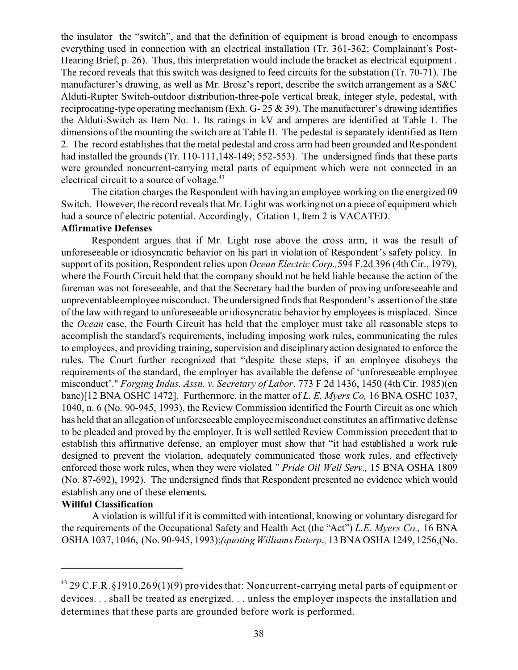the insulator the "switch", and that the definition of equipment is broad enough to encompass everything used in connection with an electrical installation (Tr. 361-362; Complainant's Post-Hearing Brief, p. 26). Thus, this interpretation would include the bracket as electrical equipment . The record reveals that this switch was designed to feed circuits for the substation (Tr. 70-71). The manufacturer's drawing, as well as Mr. Brosz's report, describe the switch arrangement as a S&C Alduti-Rupter Switch-outdoor distribution-three-pole vertical break, integer style, pedestal, with reciprocating-type operating mechanism (Exh. G-  $25 \& 39$ ). The manufacturer's drawing identifies the Alduti-Switch as Item No. 1. Its ratings in kV and amperes are identified at Table 1. The dimensions of the mounting the switch are at Table II. The pedestal is separately identified as Item 2. The record establishes that the metal pedestal and cross arm had been grounded and Respondent had installed the grounds (Tr. 110-111,148-149; 552-553). The undersigned finds that these parts were grounded noncurrent-carrying metal parts of equipment which were not connected in an electrical circuit to a source of voltage.<sup>43</sup>

The citation charges the Respondent with having an employee working on the energized 09 Switch. However, the record reveals that Mr. Light was working not on a piece of equipment which had a source of electric potential. Accordingly, Citation 1, Item 2 is VACATED.

### **Affirmative Defenses**

Respondent argues that if Mr. Light rose above the cross arm, it was the result of unforeseeable or idiosyncratic behavior on his part in violation of Respondent's safety policy. In support of its position, Respondent relies upon *Ocean Electric Corp.,*594 F.2d 396 (4th Cir., 1979), where the Fourth Circuit held that the company should not be held liable because the action of the foreman was not foreseeable, and that the Secretary had the burden of proving unforeseeable and unpreventableemployee misconduct. The undersigned finds that Respondent's assertion of the state of the law with regard to unforeseeable or idiosyncratic behavior by employees is misplaced. Since the *Ocean* case, the Fourth Circuit has held that the employer must take all reasonable steps to accomplish the standard's requirements, including imposing work rules, communicating the rules to employees, and providing training, supervision and disciplinary action designated to enforce the rules. The Court further recognized that "despite these steps, if an employee disobeys the requirements of the standard, the employer has available the defense of 'unforeseeable employee misconduct'." *Forging Indus. Assn. v. Secretary of Labor*, 773 F 2d 1436, 1450 (4th Cir. 1985)(en banc)[12 BNA OSHC 1472]. Furthermore, in the matter of *L. E. Myers Co,* 16 BNA OSHC 1037, 1040, n. 6 (No. 90-945, 1993), the Review Commission identified the Fourth Circuit as one which has held that an allegation of unforeseeable employee misconduct constitutes an affirmative defense to be pleaded and proved by the employer. It is well settled Review Commission precedent that to establish this affirmative defense, an employer must show that "it had established a work rule designed to prevent the violation, adequately communicated those work rules, and effectively enforced those work rules, when they were violated*." Pride Oil Well Serv.,* 15 BNA OSHA 1809 (No. 87-692), 1992). The undersigned finds that Respondent presented no evidence which would establish any one of these elements**.** 

## **Willful Classification**

A violation is willful if it is committed with intentional, knowing or voluntary disregard for the requirements of the Occupational Safety and Health Act (the "Act") *L.E. Myers Co.,* 16 BNA OSHA 1037, 1046, (No. 90-945, 1993);*(quoting Williams Enterp.,* 13 BNA OSHA 1249, 1256,(No.

 $43$  29 C.F.R.§1910.269(1)(9) provides that: Noncurrent-carrying metal parts of equipment or devices. . . shall be treated as energized. . . unless the employer inspects the installation and determines that these parts are grounded before work is performed.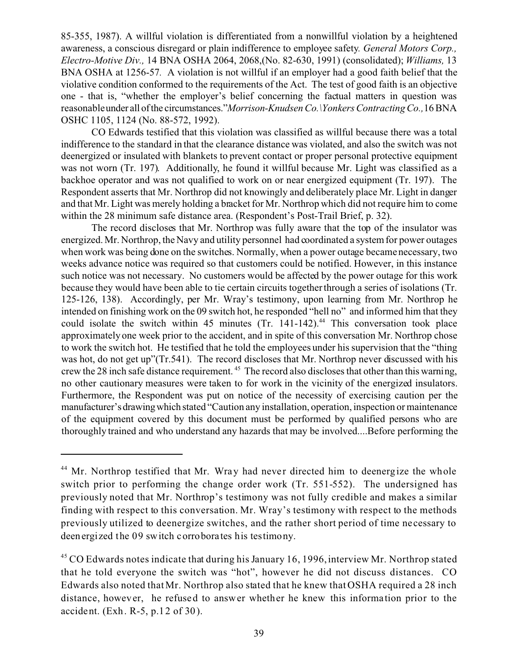85-355, 1987). A willful violation is differentiated from a nonwillful violation by a heightened awareness, a conscious disregard or plain indifference to employee safety*. General Motors Corp., Electro-Motive Div.,* 14 BNA OSHA 2064, 2068,(No. 82-630, 1991) (consolidated); *Williams,* 13 BNA OSHA at 1256-57*.* A violation is not willful if an employer had a good faith belief that the violative condition conformed to the requirements of the Act. The test of good faith is an objective one - that is, "whether the employer's belief concerning the factual matters in question was reasonableunder all ofthe circumstances."*Morrison-Knudsen Co.\Yonkers Contracting Co.,*16 BNA OSHC 1105, 1124 (No. 88-572, 1992).

CO Edwards testified that this violation was classified as willful because there was a total indifference to the standard in that the clearance distance was violated, and also the switch was not deenergized or insulated with blankets to prevent contact or proper personal protective equipment was not worn (Tr. 197). Additionally, he found it willful because Mr. Light was classified as a backhoe operator and was not qualified to work on or near energized equipment (Tr. 197). The Respondent asserts that Mr. Northrop did not knowingly and deliberately place Mr. Light in danger and that Mr. Light was merely holding a bracket for Mr. Northrop which did not require him to come within the 28 minimum safe distance area. (Respondent's Post-Trail Brief, p. 32).

The record discloses that Mr. Northrop was fully aware that the top of the insulator was energized. Mr. Northrop, the Navy and utility personnel had coordinated a system for power outages when work was being done on the switches. Normally, when a power outage became necessary, two weeks advance notice was required so that customers could be notified. However, in this instance such notice was not necessary. No customers would be affected by the power outage for this work because they would have been able to tie certain circuits together through a series of isolations (Tr. 125-126, 138). Accordingly, per Mr. Wray's testimony, upon learning from Mr. Northrop he intended on finishing work on the 09 switch hot, he responded "hell no" and informed him that they could isolate the switch within 45 minutes  $(Tr, 141-142)$ .<sup>44</sup> This conversation took place approximately one week prior to the accident, and in spite of this conversation Mr. Northrop chose to work the switch hot. He testified that he told the employees under his supervision that the "thing was hot, do not get up"(Tr.541). The record discloses that Mr. Northrop never discussed with his crew the 28 inch safe distance requirement. 45 The record also discloses that other than this warning, no other cautionary measures were taken to for work in the vicinity of the energized insulators. Furthermore, the Respondent was put on notice of the necessity of exercising caution per the manufacturer'sdrawingwhich stated "Caution any installation, operation, inspection or maintenance of the equipment covered by this document must be performed by qualified persons who are thoroughly trained and who understand any hazards that may be involved....Before performing the

<sup>&</sup>lt;sup>44</sup> Mr. Northrop testified that Mr. Wray had never directed him to deenergize the whole switch prior to performing the change order work (Tr. 551-552). The undersigned has previously noted that Mr. Northrop's testimony was not fully credible and makes a similar finding with respect to this conversation. Mr. Wray's testimony with respect to the methods previously utilized to deenergize switches, and the rather short period of time necessary to deenergized the 09 switch corroborates his testimony.

 $45$  CO Edwards notes indicate that during his January 16, 1996, interview Mr. Northrop stated that he told everyone the switch was "hot", however he did not discuss distances. CO Edwards also noted that Mr. Northrop also stated that he knew that OSHA required a 28 inch distance, however, he refused to answer whether he knew this information prior to the accident. (Exh. R-5, p.12 of 30).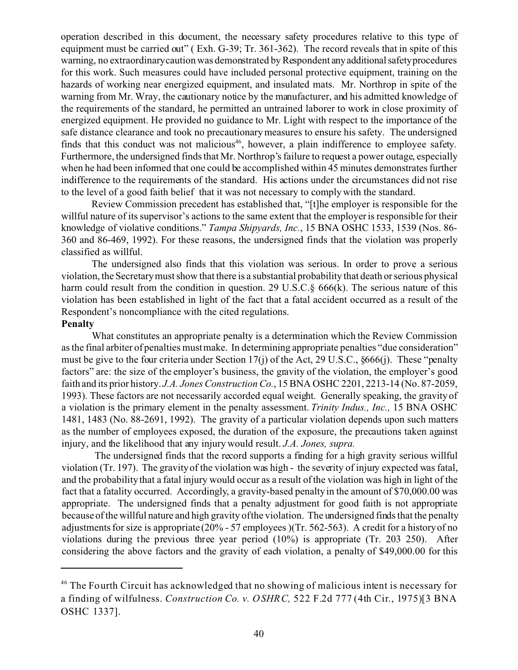operation described in this document, the necessary safety procedures relative to this type of equipment must be carried out" (Exh. G-39; Tr. 361-362). The record reveals that in spite of this warning, no extraordinarycaution was demonstrated by Respondent anyadditionalsafetyprocedures for this work. Such measures could have included personal protective equipment, training on the hazards of working near energized equipment, and insulated mats. Mr. Northrop in spite of the warning from Mr. Wray, the cautionary notice by the manufacturer, and his admitted knowledge of the requirements of the standard, he permitted an untrained laborer to work in close proximity of energized equipment. He provided no guidance to Mr. Light with respect to the importance of the safe distance clearance and took no precautionary measures to ensure his safety. The undersigned finds that this conduct was not malicious<sup>46</sup>, however, a plain indifference to employee safety. Furthermore, the undersigned finds that Mr. Northrop's failure to request a power outage, especially when he had been informed that one could be accomplished within 45 minutes demonstrates further indifference to the requirements of the standard. His actions under the circumstances did not rise to the level of a good faith belief that it was not necessary to comply with the standard.

Review Commission precedent has established that, "[t]he employer is responsible for the willful nature of its supervisor's actions to the same extent that the employer is responsible for their knowledge of violative conditions." *Tampa Shipyards, Inc.*, 15 BNA OSHC 1533, 1539 (Nos. 86- 360 and 86-469, 1992). For these reasons, the undersigned finds that the violation was properly classified as willful.

The undersigned also finds that this violation was serious. In order to prove a serious violation, the Secretary must show that there is a substantial probability that death or serious physical harm could result from the condition in question. 29 U.S.C. § 666(k). The serious nature of this violation has been established in light of the fact that a fatal accident occurred as a result of the Respondent's noncompliance with the cited regulations.

### **Penalty**

What constitutes an appropriate penalty is a determination which the Review Commission as the final arbiter of penalties must make. In determining appropriate penalties "due consideration" must be give to the four criteria under Section 17(j) of the Act, 29 U.S.C., §666(j). These "penalty factors" are: the size of the employer's business, the gravity of the violation, the employer's good faith and its prior history. *J.A. Jones Construction Co.*, 15 BNA OSHC 2201, 2213-14 (No. 87-2059, 1993). These factors are not necessarily accorded equal weight. Generally speaking, the gravity of a violation is the primary element in the penalty assessment. *Trinity Indus., Inc.,* 15 BNA OSHC 1481, 1483 (No. 88-2691, 1992). The gravity of a particular violation depends upon such matters as the number of employees exposed, the duration of the exposure, the precautions taken against injury, and the likelihood that any injury would result. *J.A. Jones, supra.* 

The undersigned finds that the record supports a finding for a high gravity serious willful violation (Tr. 197). The gravity of the violation was high - the severity of injury expected was fatal, and the probability that a fatal injury would occur as a result of the violation was high in light of the fact that a fatality occurred. Accordingly, a gravity-based penalty in the amount of \$70,000.00 was appropriate. The undersigned finds that a penalty adjustment for good faith is not appropriate because of the willful nature and high gravity ofthe violation. The undersigned finds that the penalty adjustments for size is appropriate (20% - 57 employees )(Tr. 562-563). A credit for a history of no violations during the previous three year period (10%) is appropriate (Tr. 203 250). After considering the above factors and the gravity of each violation, a penalty of \$49,000.00 for this

<sup>&</sup>lt;sup>46</sup> The Fourth Circuit has acknowledged that no showing of malicious intent is necessary for a finding of wilfulness. *Construction Co. v. OSHRC,* 522 F.2d 777 (4th Cir., 1975)[3 BNA OSHC 1337].